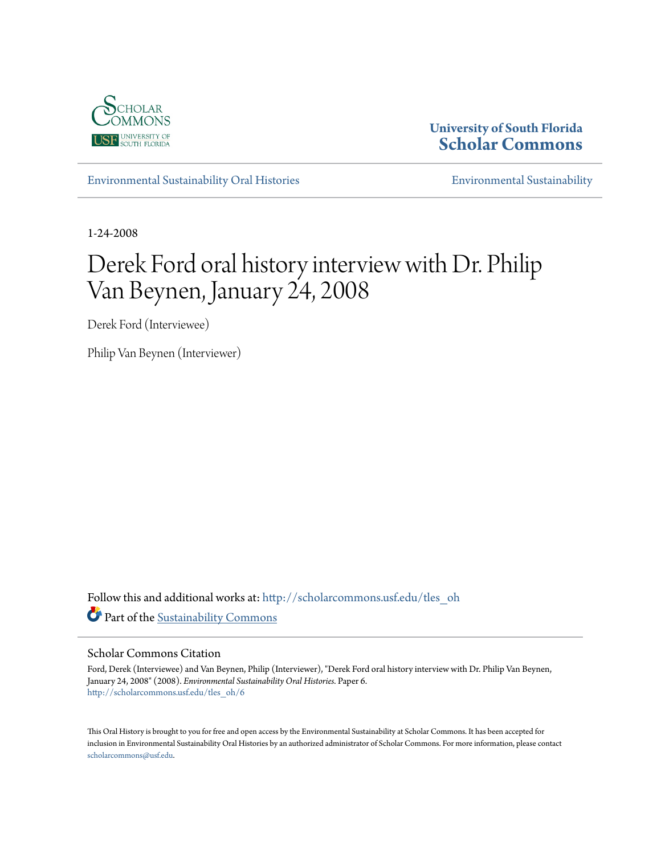

**University of South Florida [Scholar Commons](http://scholarcommons.usf.edu?utm_source=scholarcommons.usf.edu%2Ftles_oh%2F6&utm_medium=PDF&utm_campaign=PDFCoverPages)**

[Environmental Sustainability Oral Histories](http://scholarcommons.usf.edu/tles_oh?utm_source=scholarcommons.usf.edu%2Ftles_oh%2F6&utm_medium=PDF&utm_campaign=PDFCoverPages) [Environmental Sustainability](http://scholarcommons.usf.edu/tles?utm_source=scholarcommons.usf.edu%2Ftles_oh%2F6&utm_medium=PDF&utm_campaign=PDFCoverPages)

1-24-2008

## Derek Ford oral history interview with Dr. Philip Van Beynen, January 24, 2008

Derek Ford (Interviewee)

Philip Van Beynen (Interviewer)

Follow this and additional works at: [http://scholarcommons.usf.edu/tles\\_oh](http://scholarcommons.usf.edu/tles_oh?utm_source=scholarcommons.usf.edu%2Ftles_oh%2F6&utm_medium=PDF&utm_campaign=PDFCoverPages) Part of the [Sustainability Commons](http://network.bepress.com/hgg/discipline/1031?utm_source=scholarcommons.usf.edu%2Ftles_oh%2F6&utm_medium=PDF&utm_campaign=PDFCoverPages)

#### Scholar Commons Citation

Ford, Derek (Interviewee) and Van Beynen, Philip (Interviewer), "Derek Ford oral history interview with Dr. Philip Van Beynen, January 24, 2008" (2008). *Environmental Sustainability Oral Histories.* Paper 6. [http://scholarcommons.usf.edu/tles\\_oh/6](http://scholarcommons.usf.edu/tles_oh/6?utm_source=scholarcommons.usf.edu%2Ftles_oh%2F6&utm_medium=PDF&utm_campaign=PDFCoverPages)

This Oral History is brought to you for free and open access by the Environmental Sustainability at Scholar Commons. It has been accepted for inclusion in Environmental Sustainability Oral Histories by an authorized administrator of Scholar Commons. For more information, please contact [scholarcommons@usf.edu](mailto:scholarcommons@usf.edu).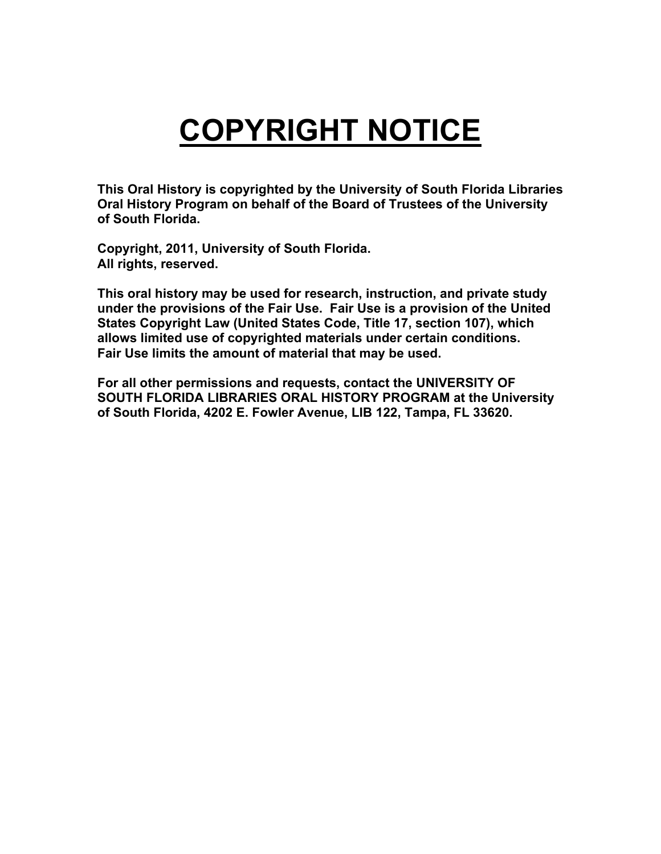# **COPYRIGHT NOTICE**

**This Oral History is copyrighted by the University of South Florida Libraries Oral History Program on behalf of the Board of Trustees of the University of South Florida.** 

**Copyright, 2011, University of South Florida. All rights, reserved.** 

**This oral history may be used for research, instruction, and private study under the provisions of the Fair Use. Fair Use is a provision of the United States Copyright Law (United States Code, Title 17, section 107), which allows limited use of copyrighted materials under certain conditions. Fair Use limits the amount of material that may be used.** 

**For all other permissions and requests, contact the UNIVERSITY OF SOUTH FLORIDA LIBRARIES ORAL HISTORY PROGRAM at the University of South Florida, 4202 E. Fowler Avenue, LIB 122, Tampa, FL 33620.**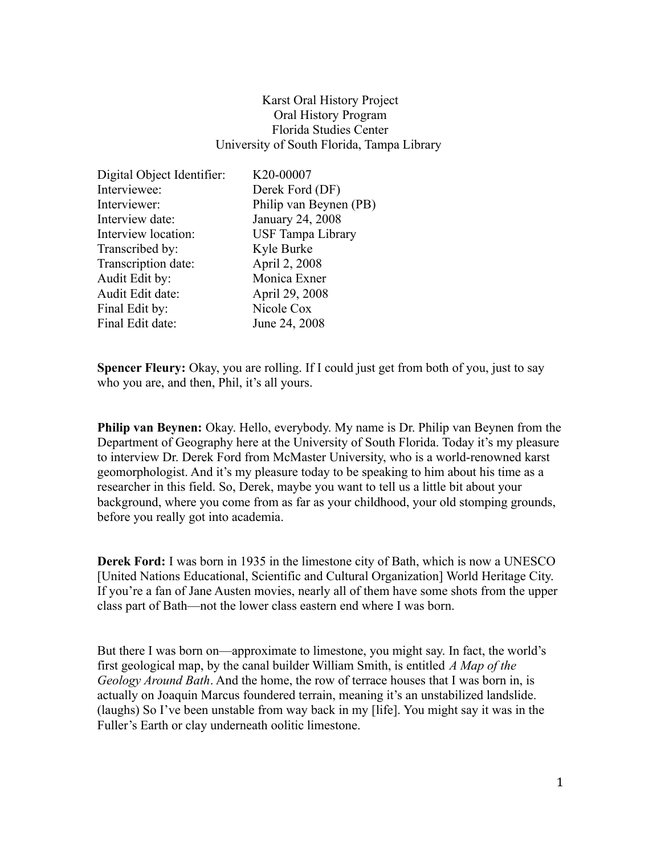### Karst Oral History Project Oral History Program Florida Studies Center University of South Florida, Tampa Library

| Digital Object Identifier: | K20-00007                |
|----------------------------|--------------------------|
| Interviewee:               | Derek Ford (DF)          |
| Interviewer:               | Philip van Beynen (PB)   |
| Interview date:            | January 24, 2008         |
| Interview location:        | <b>USF Tampa Library</b> |
| Transcribed by:            | Kyle Burke               |
| Transcription date:        | April 2, 2008            |
| Audit Edit by:             | Monica Exner             |
| Audit Edit date:           | April 29, 2008           |
| Final Edit by:             | Nicole Cox               |
| Final Edit date:           | June 24, 2008            |

**Spencer Fleury:** Okay, you are rolling. If I could just get from both of you, just to say who you are, and then, Phil, it's all yours.

**Philip van Beynen:** Okay. Hello, everybody. My name is Dr. Philip van Beynen from the Department of Geography here at the University of South Florida. Today it's my pleasure to interview Dr. Derek Ford from McMaster University, who is a world-renowned karst geomorphologist. And it's my pleasure today to be speaking to him about his time as a researcher in this field. So, Derek, maybe you want to tell us a little bit about your background, where you come from as far as your childhood, your old stomping grounds, before you really got into academia.

**Derek Ford:** I was born in 1935 in the limestone city of Bath, which is now a UNESCO [United Nations Educational, Scientific and Cultural Organization] World Heritage City. If you're a fan of Jane Austen movies, nearly all of them have some shots from the upper class part of Bath—not the lower class eastern end where I was born.

But there I was born on—approximate to limestone, you might say. In fact, the world's first geological map, by the canal builder William Smith, is entitled *A Map of the Geology Around Bath*. And the home, the row of terrace houses that I was born in, is actually on Joaquin Marcus foundered terrain, meaning it's an unstabilized landslide. (laughs) So I've been unstable from way back in my [life]. You might say it was in the Fuller's Earth or clay underneath oolitic limestone.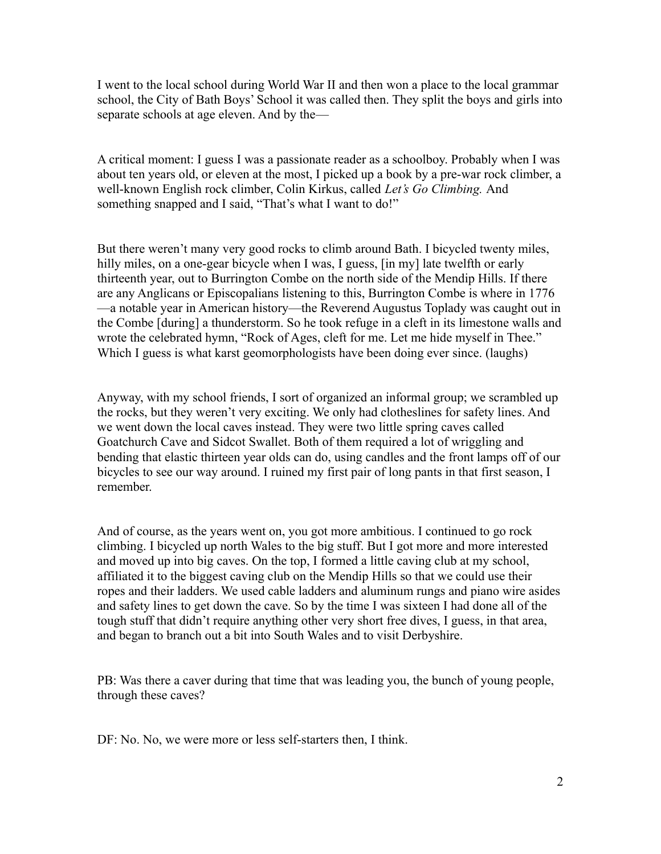I went to the local school during World War II and then won a place to the local grammar school, the City of Bath Boys' School it was called then. They split the boys and girls into separate schools at age eleven. And by the—

A critical moment: I guess I was a passionate reader as a schoolboy. Probably when I was about ten years old, or eleven at the most, I picked up a book by a pre-war rock climber, a well-known English rock climber, Colin Kirkus, called *Let's Go Climbing.* And something snapped and I said, "That's what I want to do!"

But there weren't many very good rocks to climb around Bath. I bicycled twenty miles, hilly miles, on a one-gear bicycle when I was, I guess,  $\lceil \text{in my} \rceil$  late twelfth or early thirteenth year, out to Burrington Combe on the north side of the Mendip Hills. If there are any Anglicans or Episcopalians listening to this, Burrington Combe is where in 1776 —a notable year in American history—the Reverend Augustus Toplady was caught out in the Combe [during] a thunderstorm. So he took refuge in a cleft in its limestone walls and wrote the celebrated hymn, "Rock of Ages, cleft for me. Let me hide myself in Thee." Which I guess is what karst geomorphologists have been doing ever since. (laughs)

Anyway, with my school friends, I sort of organized an informal group; we scrambled up the rocks, but they weren't very exciting. We only had clotheslines for safety lines. And we went down the local caves instead. They were two little spring caves called Goatchurch Cave and Sidcot Swallet. Both of them required a lot of wriggling and bending that elastic thirteen year olds can do, using candles and the front lamps off of our bicycles to see our way around. I ruined my first pair of long pants in that first season, I remember.

And of course, as the years went on, you got more ambitious. I continued to go rock climbing. I bicycled up north Wales to the big stuff. But I got more and more interested and moved up into big caves. On the top, I formed a little caving club at my school, affiliated it to the biggest caving club on the Mendip Hills so that we could use their ropes and their ladders. We used cable ladders and aluminum rungs and piano wire asides and safety lines to get down the cave. So by the time I was sixteen I had done all of the tough stuff that didn't require anything other very short free dives, I guess, in that area, and began to branch out a bit into South Wales and to visit Derbyshire.

PB: Was there a caver during that time that was leading you, the bunch of young people, through these caves?

DF: No. No, we were more or less self-starters then, I think.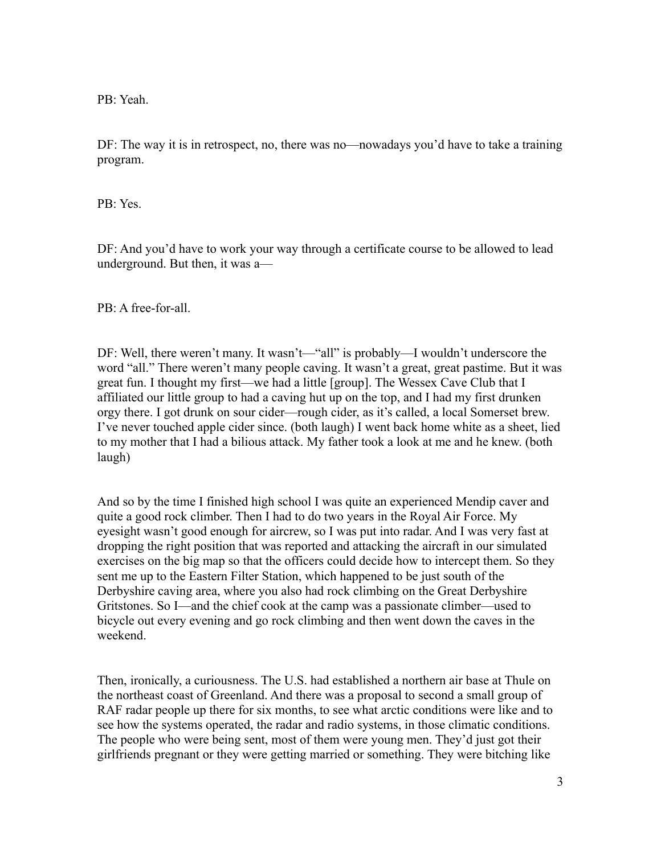PB: Yeah.

DF: The way it is in retrospect, no, there was no—nowadays you'd have to take a training program.

PB: Yes.

DF: And you'd have to work your way through a certificate course to be allowed to lead underground. But then, it was a—

PB: A free-for-all.

DF: Well, there weren't many. It wasn't—"all" is probably—I wouldn't underscore the word "all." There weren't many people caving. It wasn't a great, great pastime. But it was great fun. I thought my first—we had a little [group]. The Wessex Cave Club that I affiliated our little group to had a caving hut up on the top, and I had my first drunken orgy there. I got drunk on sour cider—rough cider, as it's called, a local Somerset brew. I've never touched apple cider since. (both laugh) I went back home white as a sheet, lied to my mother that I had a bilious attack. My father took a look at me and he knew. (both laugh)

And so by the time I finished high school I was quite an experienced Mendip caver and quite a good rock climber. Then I had to do two years in the Royal Air Force. My eyesight wasn't good enough for aircrew, so I was put into radar. And I was very fast at dropping the right position that was reported and attacking the aircraft in our simulated exercises on the big map so that the officers could decide how to intercept them. So they sent me up to the Eastern Filter Station, which happened to be just south of the Derbyshire caving area, where you also had rock climbing on the Great Derbyshire Gritstones. So I—and the chief cook at the camp was a passionate climber—used to bicycle out every evening and go rock climbing and then went down the caves in the weekend.

Then, ironically, a curiousness. The U.S. had established a northern air base at Thule on the northeast coast of Greenland. And there was a proposal to second a small group of RAF radar people up there for six months, to see what arctic conditions were like and to see how the systems operated, the radar and radio systems, in those climatic conditions. The people who were being sent, most of them were young men. They'd just got their girlfriends pregnant or they were getting married or something. They were bitching like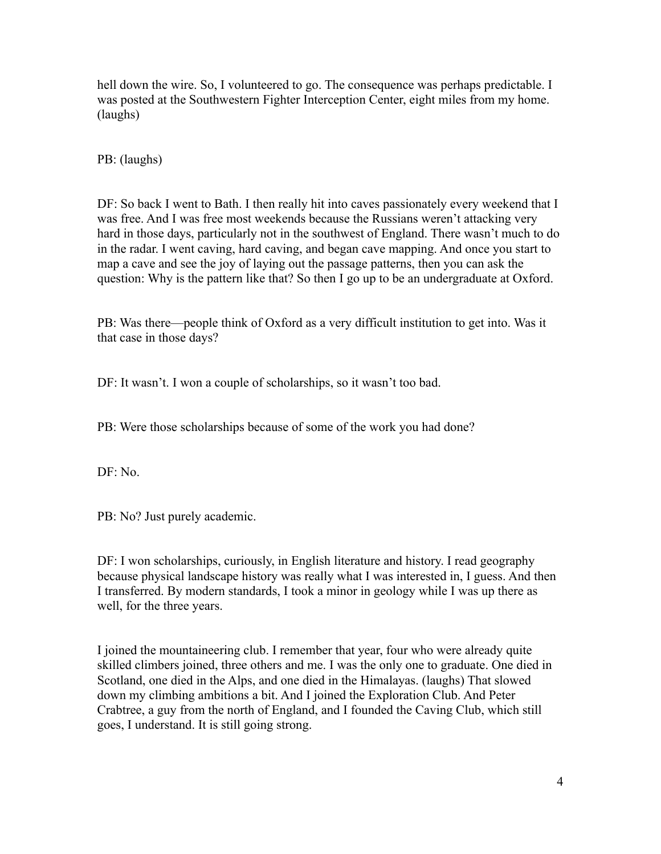hell down the wire. So, I volunteered to go. The consequence was perhaps predictable. I was posted at the Southwestern Fighter Interception Center, eight miles from my home. (laughs)

PB: (laughs)

DF: So back I went to Bath. I then really hit into caves passionately every weekend that I was free. And I was free most weekends because the Russians weren't attacking very hard in those days, particularly not in the southwest of England. There wasn't much to do in the radar. I went caving, hard caving, and began cave mapping. And once you start to map a cave and see the joy of laying out the passage patterns, then you can ask the question: Why is the pattern like that? So then I go up to be an undergraduate at Oxford.

PB: Was there—people think of Oxford as a very difficult institution to get into. Was it that case in those days?

DF: It wasn't. I won a couple of scholarships, so it wasn't too bad.

PB: Were those scholarships because of some of the work you had done?

DF: No.

PB: No? Just purely academic.

DF: I won scholarships, curiously, in English literature and history. I read geography because physical landscape history was really what I was interested in, I guess. And then I transferred. By modern standards, I took a minor in geology while I was up there as well, for the three years.

I joined the mountaineering club. I remember that year, four who were already quite skilled climbers joined, three others and me. I was the only one to graduate. One died in Scotland, one died in the Alps, and one died in the Himalayas. (laughs) That slowed down my climbing ambitions a bit. And I joined the Exploration Club. And Peter Crabtree, a guy from the north of England, and I founded the Caving Club, which still goes, I understand. It is still going strong.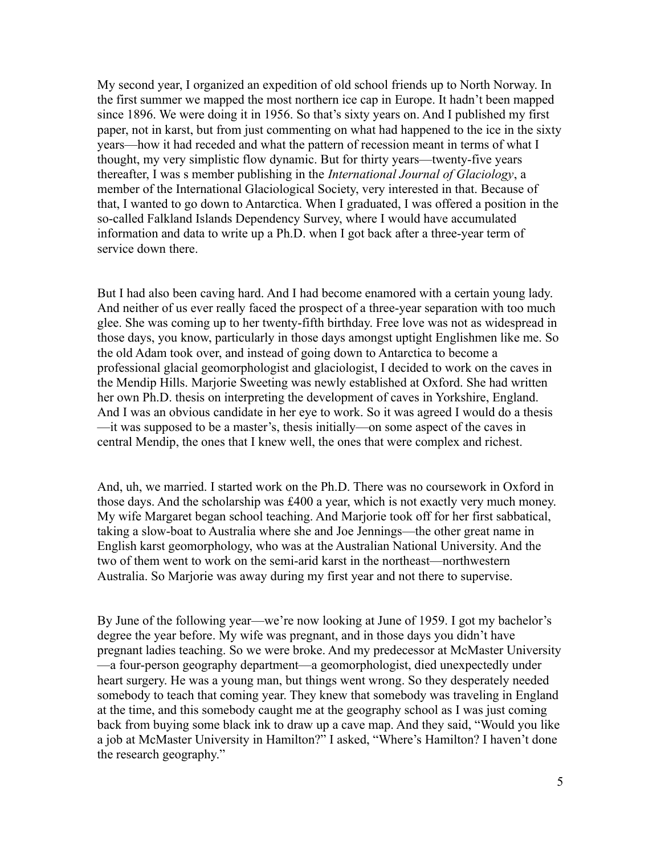My second year, I organized an expedition of old school friends up to North Norway. In the first summer we mapped the most northern ice cap in Europe. It hadn't been mapped since 1896. We were doing it in 1956. So that's sixty years on. And I published my first paper, not in karst, but from just commenting on what had happened to the ice in the sixty years—how it had receded and what the pattern of recession meant in terms of what I thought, my very simplistic flow dynamic. But for thirty years—twenty-five years thereafter, I was s member publishing in the *International Journal of Glaciology*, a member of the International Glaciological Society, very interested in that. Because of that, I wanted to go down to Antarctica. When I graduated, I was offered a position in the so-called Falkland Islands Dependency Survey, where I would have accumulated information and data to write up a Ph.D. when I got back after a three-year term of service down there.

But I had also been caving hard. And I had become enamored with a certain young lady. And neither of us ever really faced the prospect of a three-year separation with too much glee. She was coming up to her twenty-fifth birthday. Free love was not as widespread in those days, you know, particularly in those days amongst uptight Englishmen like me. So the old Adam took over, and instead of going down to Antarctica to become a professional glacial geomorphologist and glaciologist, I decided to work on the caves in the Mendip Hills. Marjorie Sweeting was newly established at Oxford. She had written her own Ph.D. thesis on interpreting the development of caves in Yorkshire, England. And I was an obvious candidate in her eye to work. So it was agreed I would do a thesis —it was supposed to be a master's, thesis initially—on some aspect of the caves in central Mendip, the ones that I knew well, the ones that were complex and richest.

And, uh, we married. I started work on the Ph.D. There was no coursework in Oxford in those days. And the scholarship was £400 a year, which is not exactly very much money. My wife Margaret began school teaching. And Marjorie took off for her first sabbatical, taking a slow-boat to Australia where she and Joe Jennings—the other great name in English karst geomorphology, who was at the Australian National University. And the two of them went to work on the semi-arid karst in the northeast—northwestern Australia. So Marjorie was away during my first year and not there to supervise.

By June of the following year—we're now looking at June of 1959. I got my bachelor's degree the year before. My wife was pregnant, and in those days you didn't have pregnant ladies teaching. So we were broke. And my predecessor at McMaster University —a four-person geography department—a geomorphologist, died unexpectedly under heart surgery. He was a young man, but things went wrong. So they desperately needed somebody to teach that coming year. They knew that somebody was traveling in England at the time, and this somebody caught me at the geography school as I was just coming back from buying some black ink to draw up a cave map. And they said, "Would you like a job at McMaster University in Hamilton?" I asked, "Where's Hamilton? I haven't done the research geography."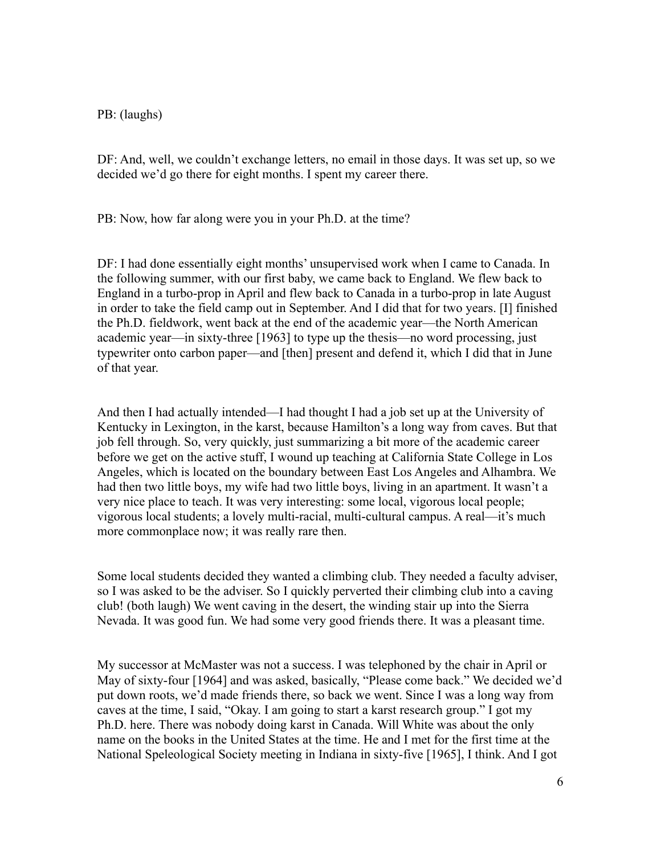#### PB: (laughs)

DF: And, well, we couldn't exchange letters, no email in those days. It was set up, so we decided we'd go there for eight months. I spent my career there.

PB: Now, how far along were you in your Ph.D. at the time?

DF: I had done essentially eight months' unsupervised work when I came to Canada. In the following summer, with our first baby, we came back to England. We flew back to England in a turbo-prop in April and flew back to Canada in a turbo-prop in late August in order to take the field camp out in September. And I did that for two years. [I] finished the Ph.D. fieldwork, went back at the end of the academic year—the North American academic year—in sixty-three [1963] to type up the thesis—no word processing, just typewriter onto carbon paper—and [then] present and defend it, which I did that in June of that year.

And then I had actually intended—I had thought I had a job set up at the University of Kentucky in Lexington, in the karst, because Hamilton's a long way from caves. But that job fell through. So, very quickly, just summarizing a bit more of the academic career before we get on the active stuff, I wound up teaching at California State College in Los Angeles, which is located on the boundary between East Los Angeles and Alhambra. We had then two little boys, my wife had two little boys, living in an apartment. It wasn't a very nice place to teach. It was very interesting: some local, vigorous local people; vigorous local students; a lovely multi-racial, multi-cultural campus. A real—it's much more commonplace now; it was really rare then.

Some local students decided they wanted a climbing club. They needed a faculty adviser, so I was asked to be the adviser. So I quickly perverted their climbing club into a caving club! (both laugh) We went caving in the desert, the winding stair up into the Sierra Nevada. It was good fun. We had some very good friends there. It was a pleasant time.

My successor at McMaster was not a success. I was telephoned by the chair in April or May of sixty-four [1964] and was asked, basically, "Please come back." We decided we'd put down roots, we'd made friends there, so back we went. Since I was a long way from caves at the time, I said, "Okay. I am going to start a karst research group." I got my Ph.D. here. There was nobody doing karst in Canada. Will White was about the only name on the books in the United States at the time. He and I met for the first time at the National Speleological Society meeting in Indiana in sixty-five [1965], I think. And I got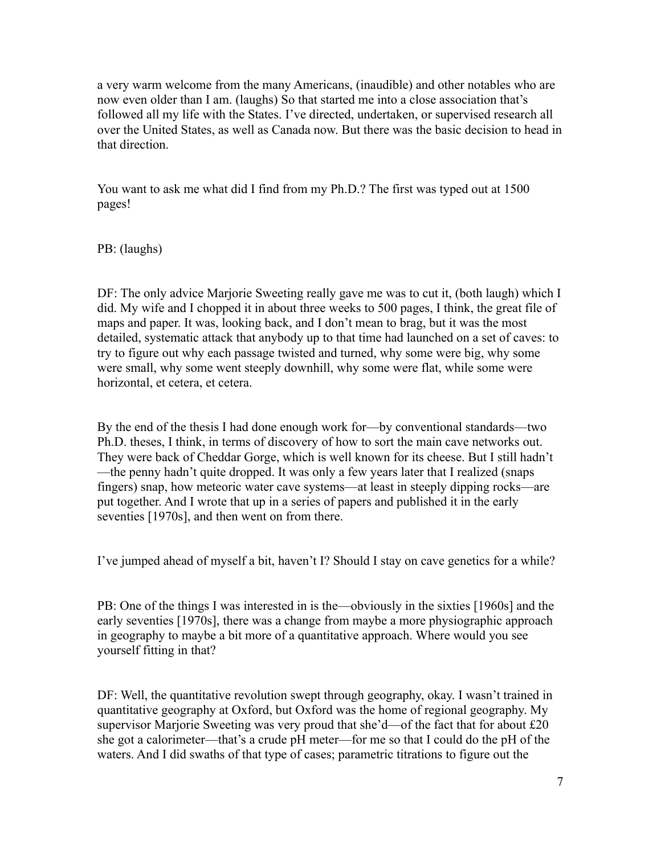a very warm welcome from the many Americans, (inaudible) and other notables who are now even older than I am. (laughs) So that started me into a close association that's followed all my life with the States. I've directed, undertaken, or supervised research all over the United States, as well as Canada now. But there was the basic decision to head in that direction.

You want to ask me what did I find from my Ph.D.? The first was typed out at 1500 pages!

PB: (laughs)

DF: The only advice Marjorie Sweeting really gave me was to cut it, (both laugh) which I did. My wife and I chopped it in about three weeks to 500 pages, I think, the great file of maps and paper. It was, looking back, and I don't mean to brag, but it was the most detailed, systematic attack that anybody up to that time had launched on a set of caves: to try to figure out why each passage twisted and turned, why some were big, why some were small, why some went steeply downhill, why some were flat, while some were horizontal, et cetera, et cetera.

By the end of the thesis I had done enough work for—by conventional standards—two Ph.D. theses, I think, in terms of discovery of how to sort the main cave networks out. They were back of Cheddar Gorge, which is well known for its cheese. But I still hadn't —the penny hadn't quite dropped. It was only a few years later that I realized (snaps fingers) snap, how meteoric water cave systems—at least in steeply dipping rocks—are put together. And I wrote that up in a series of papers and published it in the early seventies [1970s], and then went on from there.

I've jumped ahead of myself a bit, haven't I? Should I stay on cave genetics for a while?

PB: One of the things I was interested in is the—obviously in the sixties [1960s] and the early seventies [1970s], there was a change from maybe a more physiographic approach in geography to maybe a bit more of a quantitative approach. Where would you see yourself fitting in that?

DF: Well, the quantitative revolution swept through geography, okay. I wasn't trained in quantitative geography at Oxford, but Oxford was the home of regional geography. My supervisor Marjorie Sweeting was very proud that she'd—of the fact that for about £20 she got a calorimeter—that's a crude pH meter—for me so that I could do the pH of the waters. And I did swaths of that type of cases; parametric titrations to figure out the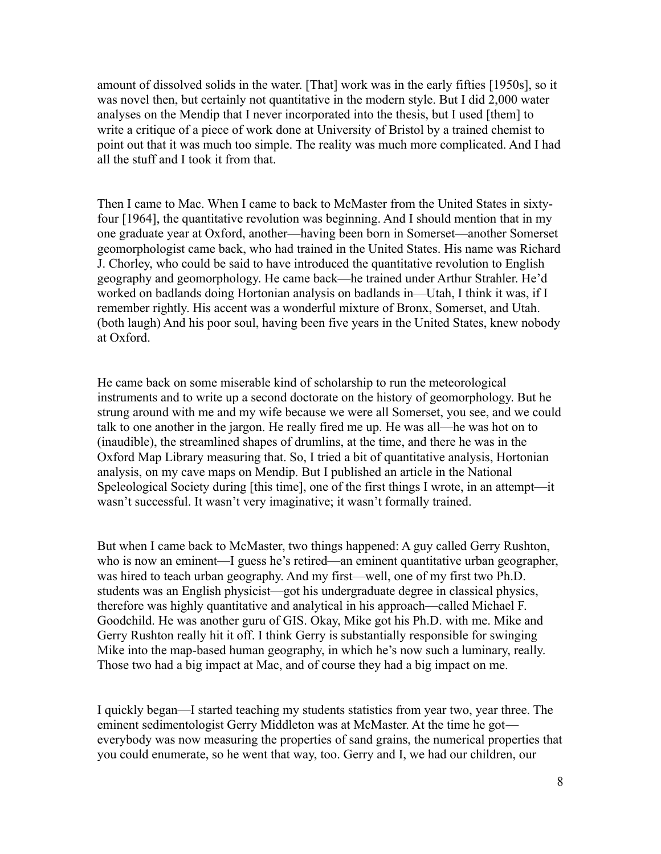amount of dissolved solids in the water. [That] work was in the early fifties [1950s], so it was novel then, but certainly not quantitative in the modern style. But I did 2,000 water analyses on the Mendip that I never incorporated into the thesis, but I used [them] to write a critique of a piece of work done at University of Bristol by a trained chemist to point out that it was much too simple. The reality was much more complicated. And I had all the stuff and I took it from that.

Then I came to Mac. When I came to back to McMaster from the United States in sixtyfour [1964], the quantitative revolution was beginning. And I should mention that in my one graduate year at Oxford, another—having been born in Somerset—another Somerset geomorphologist came back, who had trained in the United States. His name was Richard J. Chorley, who could be said to have introduced the quantitative revolution to English geography and geomorphology. He came back—he trained under Arthur Strahler. He'd worked on badlands doing Hortonian analysis on badlands in—Utah, I think it was, if I remember rightly. His accent was a wonderful mixture of Bronx, Somerset, and Utah. (both laugh) And his poor soul, having been five years in the United States, knew nobody at Oxford.

He came back on some miserable kind of scholarship to run the meteorological instruments and to write up a second doctorate on the history of geomorphology. But he strung around with me and my wife because we were all Somerset, you see, and we could talk to one another in the jargon. He really fired me up. He was all—he was hot on to (inaudible), the streamlined shapes of drumlins, at the time, and there he was in the Oxford Map Library measuring that. So, I tried a bit of quantitative analysis, Hortonian analysis, on my cave maps on Mendip. But I published an article in the National Speleological Society during [this time], one of the first things I wrote, in an attempt—it wasn't successful. It wasn't very imaginative; it wasn't formally trained.

But when I came back to McMaster, two things happened: A guy called Gerry Rushton, who is now an eminent—I guess he's retired—an eminent quantitative urban geographer, was hired to teach urban geography. And my first—well, one of my first two Ph.D. students was an English physicist—got his undergraduate degree in classical physics, therefore was highly quantitative and analytical in his approach—called Michael F. Goodchild. He was another guru of GIS. Okay, Mike got his Ph.D. with me. Mike and Gerry Rushton really hit it off. I think Gerry is substantially responsible for swinging Mike into the map-based human geography, in which he's now such a luminary, really. Those two had a big impact at Mac, and of course they had a big impact on me.

I quickly began—I started teaching my students statistics from year two, year three. The eminent sedimentologist Gerry Middleton was at McMaster. At the time he got everybody was now measuring the properties of sand grains, the numerical properties that you could enumerate, so he went that way, too. Gerry and I, we had our children, our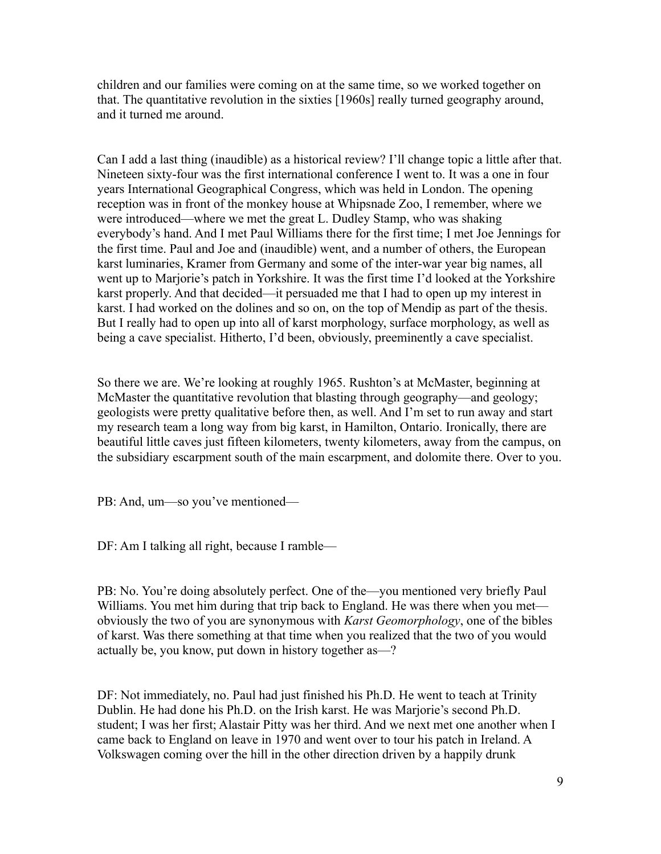children and our families were coming on at the same time, so we worked together on that. The quantitative revolution in the sixties [1960s] really turned geography around, and it turned me around.

Can I add a last thing (inaudible) as a historical review? I'll change topic a little after that. Nineteen sixty-four was the first international conference I went to. It was a one in four years International Geographical Congress, which was held in London. The opening reception was in front of the monkey house at Whipsnade Zoo, I remember, where we were introduced—where we met the great L. Dudley Stamp, who was shaking everybody's hand. And I met Paul Williams there for the first time; I met Joe Jennings for the first time. Paul and Joe and (inaudible) went, and a number of others, the European karst luminaries, Kramer from Germany and some of the inter-war year big names, all went up to Marjorie's patch in Yorkshire. It was the first time I'd looked at the Yorkshire karst properly. And that decided—it persuaded me that I had to open up my interest in karst. I had worked on the dolines and so on, on the top of Mendip as part of the thesis. But I really had to open up into all of karst morphology, surface morphology, as well as being a cave specialist. Hitherto, I'd been, obviously, preeminently a cave specialist.

So there we are. We're looking at roughly 1965. Rushton's at McMaster, beginning at McMaster the quantitative revolution that blasting through geography—and geology; geologists were pretty qualitative before then, as well. And I'm set to run away and start my research team a long way from big karst, in Hamilton, Ontario. Ironically, there are beautiful little caves just fifteen kilometers, twenty kilometers, away from the campus, on the subsidiary escarpment south of the main escarpment, and dolomite there. Over to you.

PB: And, um—so you've mentioned—

DF: Am I talking all right, because I ramble—

PB: No. You're doing absolutely perfect. One of the—you mentioned very briefly Paul Williams. You met him during that trip back to England. He was there when you met obviously the two of you are synonymous with *Karst Geomorphology*, one of the bibles of karst. Was there something at that time when you realized that the two of you would actually be, you know, put down in history together as—?

DF: Not immediately, no. Paul had just finished his Ph.D. He went to teach at Trinity Dublin. He had done his Ph.D. on the Irish karst. He was Marjorie's second Ph.D. student; I was her first; Alastair Pitty was her third. And we next met one another when I came back to England on leave in 1970 and went over to tour his patch in Ireland. A Volkswagen coming over the hill in the other direction driven by a happily drunk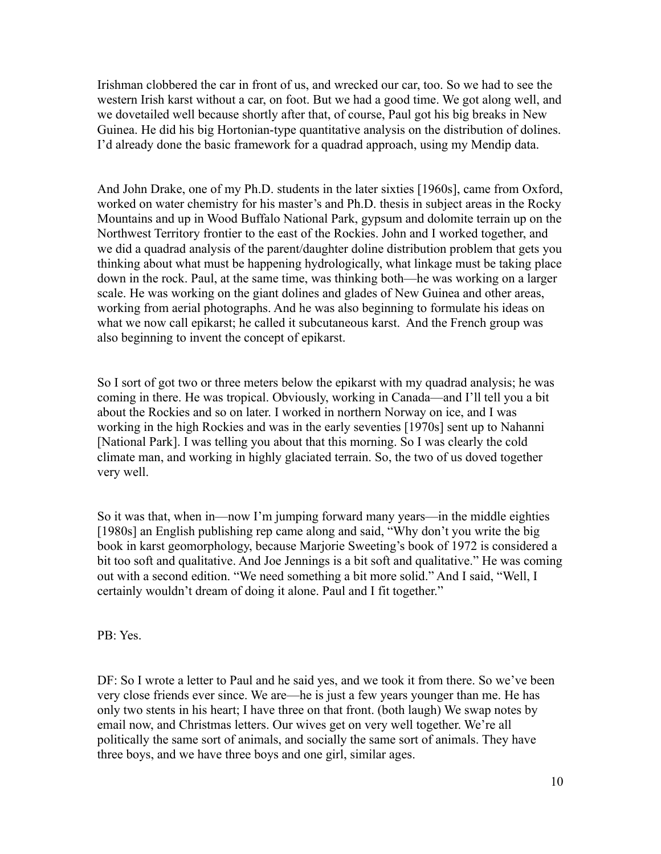Irishman clobbered the car in front of us, and wrecked our car, too. So we had to see the western Irish karst without a car, on foot. But we had a good time. We got along well, and we dovetailed well because shortly after that, of course, Paul got his big breaks in New Guinea. He did his big Hortonian-type quantitative analysis on the distribution of dolines. I'd already done the basic framework for a quadrad approach, using my Mendip data.

And John Drake, one of my Ph.D. students in the later sixties [1960s], came from Oxford, worked on water chemistry for his master's and Ph.D. thesis in subject areas in the Rocky Mountains and up in Wood Buffalo National Park, gypsum and dolomite terrain up on the Northwest Territory frontier to the east of the Rockies. John and I worked together, and we did a quadrad analysis of the parent/daughter doline distribution problem that gets you thinking about what must be happening hydrologically, what linkage must be taking place down in the rock. Paul, at the same time, was thinking both—he was working on a larger scale. He was working on the giant dolines and glades of New Guinea and other areas, working from aerial photographs. And he was also beginning to formulate his ideas on what we now call epikarst; he called it subcutaneous karst. And the French group was also beginning to invent the concept of epikarst.

So I sort of got two or three meters below the epikarst with my quadrad analysis; he was coming in there. He was tropical. Obviously, working in Canada—and I'll tell you a bit about the Rockies and so on later. I worked in northern Norway on ice, and I was working in the high Rockies and was in the early seventies [1970s] sent up to Nahanni [National Park]. I was telling you about that this morning. So I was clearly the cold climate man, and working in highly glaciated terrain. So, the two of us doved together very well.

So it was that, when in—now I'm jumping forward many years—in the middle eighties [1980s] an English publishing rep came along and said, "Why don't you write the big book in karst geomorphology, because Marjorie Sweeting's book of 1972 is considered a bit too soft and qualitative. And Joe Jennings is a bit soft and qualitative." He was coming out with a second edition. "We need something a bit more solid." And I said, "Well, I certainly wouldn't dream of doing it alone. Paul and I fit together."

PB: Yes.

DF: So I wrote a letter to Paul and he said yes, and we took it from there. So we've been very close friends ever since. We are—he is just a few years younger than me. He has only two stents in his heart; I have three on that front. (both laugh) We swap notes by email now, and Christmas letters. Our wives get on very well together. We're all politically the same sort of animals, and socially the same sort of animals. They have three boys, and we have three boys and one girl, similar ages.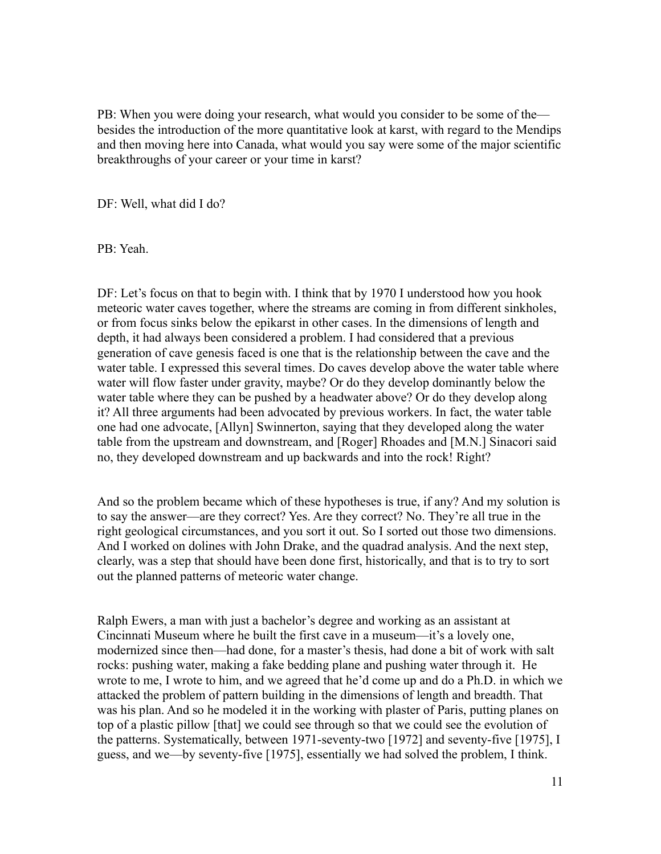PB: When you were doing your research, what would you consider to be some of the besides the introduction of the more quantitative look at karst, with regard to the Mendips and then moving here into Canada, what would you say were some of the major scientific breakthroughs of your career or your time in karst?

DF: Well, what did I do?

PB: Yeah.

DF: Let's focus on that to begin with. I think that by 1970 I understood how you hook meteoric water caves together, where the streams are coming in from different sinkholes, or from focus sinks below the epikarst in other cases. In the dimensions of length and depth, it had always been considered a problem. I had considered that a previous generation of cave genesis faced is one that is the relationship between the cave and the water table. I expressed this several times. Do caves develop above the water table where water will flow faster under gravity, maybe? Or do they develop dominantly below the water table where they can be pushed by a headwater above? Or do they develop along it? All three arguments had been advocated by previous workers. In fact, the water table one had one advocate, [Allyn] Swinnerton, saying that they developed along the water table from the upstream and downstream, and [Roger] Rhoades and [M.N.] Sinacori said no, they developed downstream and up backwards and into the rock! Right?

And so the problem became which of these hypotheses is true, if any? And my solution is to say the answer—are they correct? Yes. Are they correct? No. They're all true in the right geological circumstances, and you sort it out. So I sorted out those two dimensions. And I worked on dolines with John Drake, and the quadrad analysis. And the next step, clearly, was a step that should have been done first, historically, and that is to try to sort out the planned patterns of meteoric water change.

Ralph Ewers, a man with just a bachelor's degree and working as an assistant at Cincinnati Museum where he built the first cave in a museum—it's a lovely one, modernized since then—had done, for a master's thesis, had done a bit of work with salt rocks: pushing water, making a fake bedding plane and pushing water through it. He wrote to me, I wrote to him, and we agreed that he'd come up and do a Ph.D. in which we attacked the problem of pattern building in the dimensions of length and breadth. That was his plan. And so he modeled it in the working with plaster of Paris, putting planes on top of a plastic pillow [that] we could see through so that we could see the evolution of the patterns. Systematically, between 1971-seventy-two [1972] and seventy-five [1975], I guess, and we—by seventy-five [1975], essentially we had solved the problem, I think.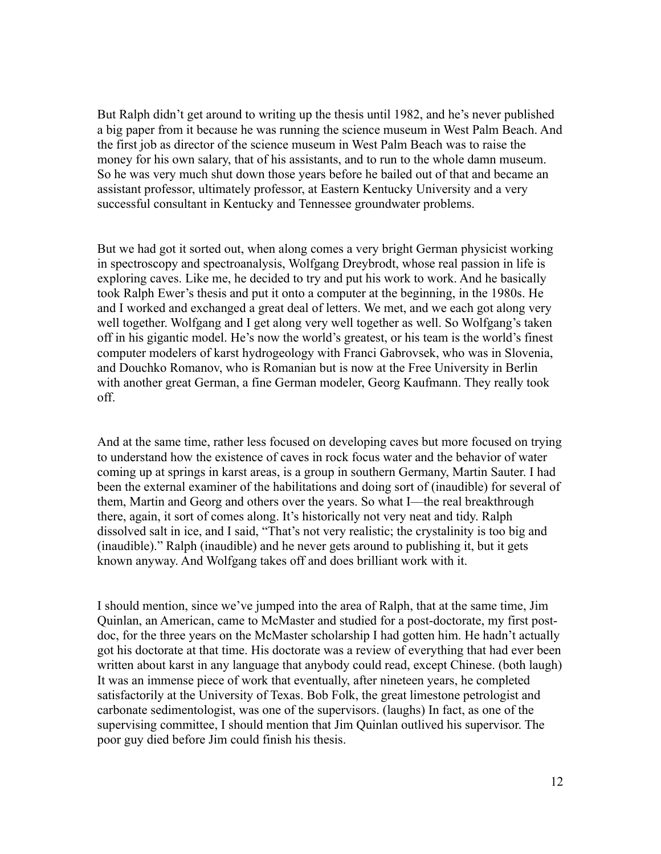But Ralph didn't get around to writing up the thesis until 1982, and he's never published a big paper from it because he was running the science museum in West Palm Beach. And the first job as director of the science museum in West Palm Beach was to raise the money for his own salary, that of his assistants, and to run to the whole damn museum. So he was very much shut down those years before he bailed out of that and became an assistant professor, ultimately professor, at Eastern Kentucky University and a very successful consultant in Kentucky and Tennessee groundwater problems.

But we had got it sorted out, when along comes a very bright German physicist working in spectroscopy and spectroanalysis, Wolfgang Dreybrodt, whose real passion in life is exploring caves. Like me, he decided to try and put his work to work. And he basically took Ralph Ewer's thesis and put it onto a computer at the beginning, in the 1980s. He and I worked and exchanged a great deal of letters. We met, and we each got along very well together. Wolfgang and I get along very well together as well. So Wolfgang's taken off in his gigantic model. He's now the world's greatest, or his team is the world's finest computer modelers of karst hydrogeology with Franci Gabrovsek, who was in Slovenia, and Douchko Romanov, who is Romanian but is now at the Free University in Berlin with another great German, a fine German modeler, Georg Kaufmann. They really took off.

And at the same time, rather less focused on developing caves but more focused on trying to understand how the existence of caves in rock focus water and the behavior of water coming up at springs in karst areas, is a group in southern Germany, Martin Sauter. I had been the external examiner of the habilitations and doing sort of (inaudible) for several of them, Martin and Georg and others over the years. So what I—the real breakthrough there, again, it sort of comes along. It's historically not very neat and tidy. Ralph dissolved salt in ice, and I said, "That's not very realistic; the crystalinity is too big and (inaudible)." Ralph (inaudible) and he never gets around to publishing it, but it gets known anyway. And Wolfgang takes off and does brilliant work with it.

I should mention, since we've jumped into the area of Ralph, that at the same time, Jim Quinlan, an American, came to McMaster and studied for a post-doctorate, my first postdoc, for the three years on the McMaster scholarship I had gotten him. He hadn't actually got his doctorate at that time. His doctorate was a review of everything that had ever been written about karst in any language that anybody could read, except Chinese. (both laugh) It was an immense piece of work that eventually, after nineteen years, he completed satisfactorily at the University of Texas. Bob Folk, the great limestone petrologist and carbonate sedimentologist, was one of the supervisors. (laughs) In fact, as one of the supervising committee, I should mention that Jim Quinlan outlived his supervisor. The poor guy died before Jim could finish his thesis.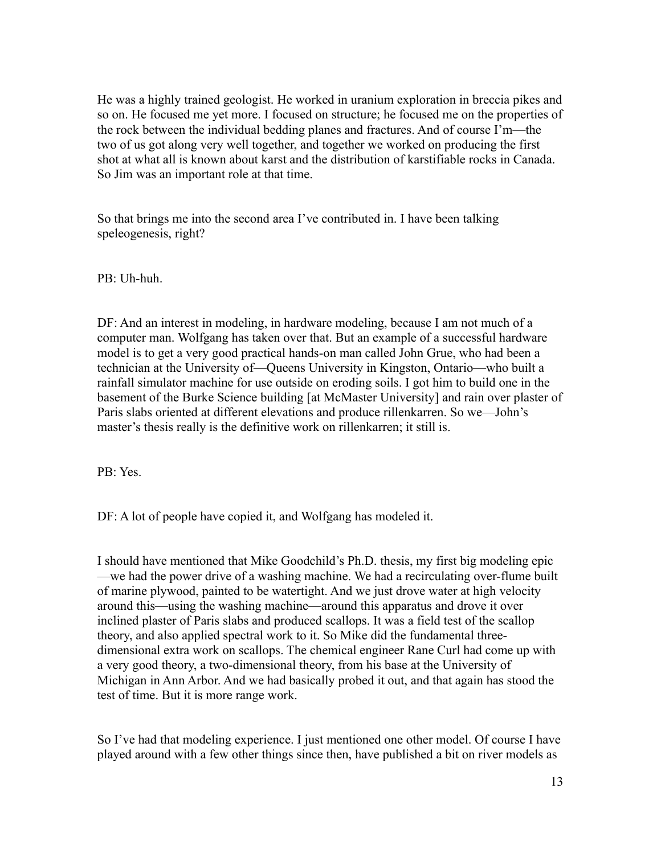He was a highly trained geologist. He worked in uranium exploration in breccia pikes and so on. He focused me yet more. I focused on structure; he focused me on the properties of the rock between the individual bedding planes and fractures. And of course I'm—the two of us got along very well together, and together we worked on producing the first shot at what all is known about karst and the distribution of karstifiable rocks in Canada. So Jim was an important role at that time.

So that brings me into the second area I've contributed in. I have been talking speleogenesis, right?

PB: Uh-huh.

DF: And an interest in modeling, in hardware modeling, because I am not much of a computer man. Wolfgang has taken over that. But an example of a successful hardware model is to get a very good practical hands-on man called John Grue, who had been a technician at the University of—Queens University in Kingston, Ontario—who built a rainfall simulator machine for use outside on eroding soils. I got him to build one in the basement of the Burke Science building [at McMaster University] and rain over plaster of Paris slabs oriented at different elevations and produce rillenkarren. So we—John's master's thesis really is the definitive work on rillenkarren; it still is.

PB: Yes.

DF: A lot of people have copied it, and Wolfgang has modeled it.

I should have mentioned that Mike Goodchild's Ph.D. thesis, my first big modeling epic —we had the power drive of a washing machine. We had a recirculating over-flume built of marine plywood, painted to be watertight. And we just drove water at high velocity around this—using the washing machine—around this apparatus and drove it over inclined plaster of Paris slabs and produced scallops. It was a field test of the scallop theory, and also applied spectral work to it. So Mike did the fundamental threedimensional extra work on scallops. The chemical engineer Rane Curl had come up with a very good theory, a two-dimensional theory, from his base at the University of Michigan in Ann Arbor. And we had basically probed it out, and that again has stood the test of time. But it is more range work.

So I've had that modeling experience. I just mentioned one other model. Of course I have played around with a few other things since then, have published a bit on river models as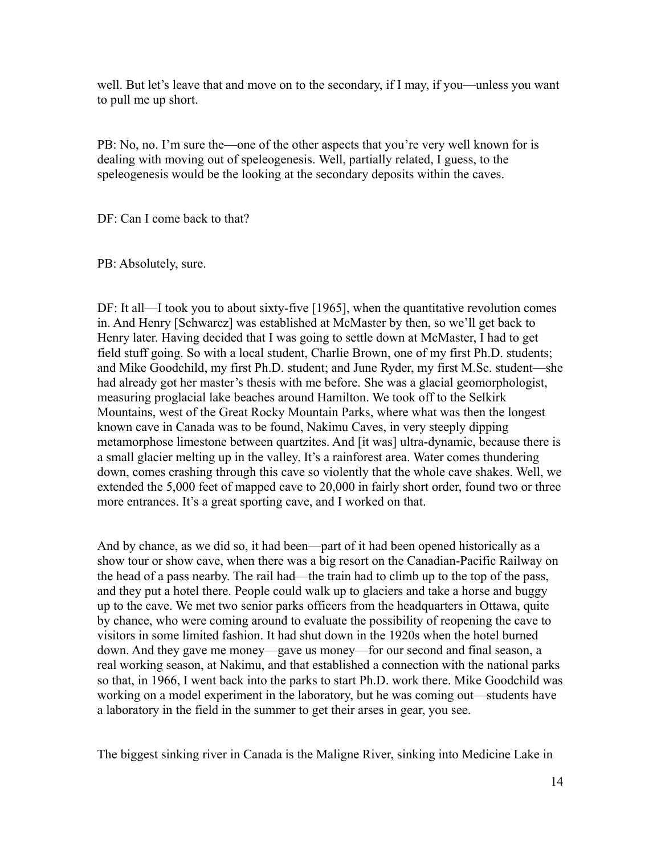well. But let's leave that and move on to the secondary, if I may, if you—unless you want to pull me up short.

PB: No, no. I'm sure the—one of the other aspects that you're very well known for is dealing with moving out of speleogenesis. Well, partially related, I guess, to the speleogenesis would be the looking at the secondary deposits within the caves.

DF: Can I come back to that?

PB: Absolutely, sure.

DF: It all—I took you to about sixty-five [1965], when the quantitative revolution comes in. And Henry [Schwarcz] was established at McMaster by then, so we'll get back to Henry later. Having decided that I was going to settle down at McMaster, I had to get field stuff going. So with a local student, Charlie Brown, one of my first Ph.D. students; and Mike Goodchild, my first Ph.D. student; and June Ryder, my first M.Sc. student—she had already got her master's thesis with me before. She was a glacial geomorphologist, measuring proglacial lake beaches around Hamilton. We took off to the Selkirk Mountains, west of the Great Rocky Mountain Parks, where what was then the longest known cave in Canada was to be found, Nakimu Caves, in very steeply dipping metamorphose limestone between quartzites. And [it was] ultra-dynamic, because there is a small glacier melting up in the valley. It's a rainforest area. Water comes thundering down, comes crashing through this cave so violently that the whole cave shakes. Well, we extended the 5,000 feet of mapped cave to 20,000 in fairly short order, found two or three more entrances. It's a great sporting cave, and I worked on that.

And by chance, as we did so, it had been—part of it had been opened historically as a show tour or show cave, when there was a big resort on the Canadian-Pacific Railway on the head of a pass nearby. The rail had—the train had to climb up to the top of the pass, and they put a hotel there. People could walk up to glaciers and take a horse and buggy up to the cave. We met two senior parks officers from the headquarters in Ottawa, quite by chance, who were coming around to evaluate the possibility of reopening the cave to visitors in some limited fashion. It had shut down in the 1920s when the hotel burned down. And they gave me money—gave us money—for our second and final season, a real working season, at Nakimu, and that established a connection with the national parks so that, in 1966, I went back into the parks to start Ph.D. work there. Mike Goodchild was working on a model experiment in the laboratory, but he was coming out—students have a laboratory in the field in the summer to get their arses in gear, you see.

The biggest sinking river in Canada is the Maligne River, sinking into Medicine Lake in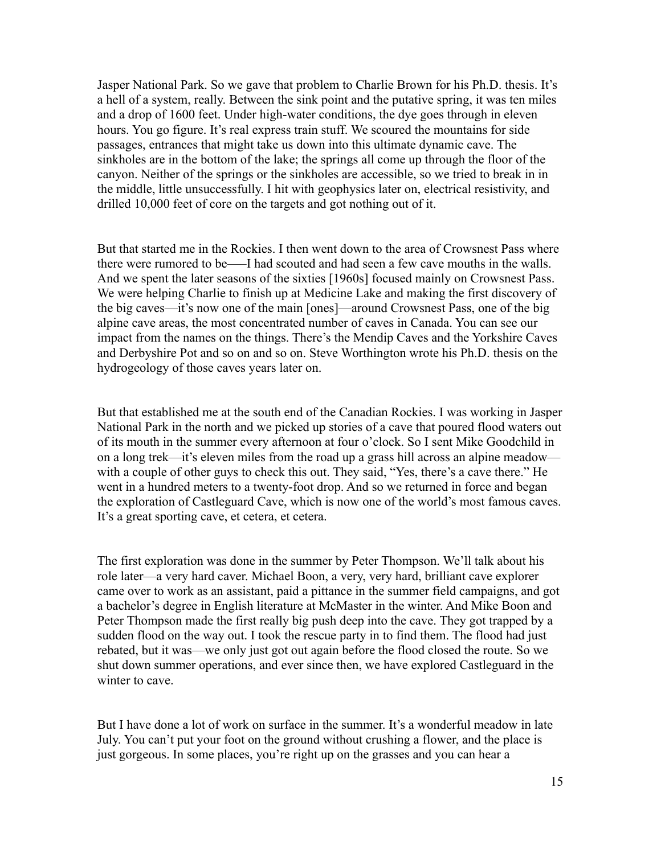Jasper National Park. So we gave that problem to Charlie Brown for his Ph.D. thesis. It's a hell of a system, really. Between the sink point and the putative spring, it was ten miles and a drop of 1600 feet. Under high-water conditions, the dye goes through in eleven hours. You go figure. It's real express train stuff. We scoured the mountains for side passages, entrances that might take us down into this ultimate dynamic cave. The sinkholes are in the bottom of the lake; the springs all come up through the floor of the canyon. Neither of the springs or the sinkholes are accessible, so we tried to break in in the middle, little unsuccessfully. I hit with geophysics later on, electrical resistivity, and drilled 10,000 feet of core on the targets and got nothing out of it.

But that started me in the Rockies. I then went down to the area of Crowsnest Pass where there were rumored to be—–I had scouted and had seen a few cave mouths in the walls. And we spent the later seasons of the sixties [1960s] focused mainly on Crowsnest Pass. We were helping Charlie to finish up at Medicine Lake and making the first discovery of the big caves—it's now one of the main [ones]—around Crowsnest Pass, one of the big alpine cave areas, the most concentrated number of caves in Canada. You can see our impact from the names on the things. There's the Mendip Caves and the Yorkshire Caves and Derbyshire Pot and so on and so on. Steve Worthington wrote his Ph.D. thesis on the hydrogeology of those caves years later on.

But that established me at the south end of the Canadian Rockies. I was working in Jasper National Park in the north and we picked up stories of a cave that poured flood waters out of its mouth in the summer every afternoon at four o'clock. So I sent Mike Goodchild in on a long trek—it's eleven miles from the road up a grass hill across an alpine meadow with a couple of other guys to check this out. They said, "Yes, there's a cave there." He went in a hundred meters to a twenty-foot drop. And so we returned in force and began the exploration of Castleguard Cave, which is now one of the world's most famous caves. It's a great sporting cave, et cetera, et cetera.

The first exploration was done in the summer by Peter Thompson. We'll talk about his role later—a very hard caver. Michael Boon, a very, very hard, brilliant cave explorer came over to work as an assistant, paid a pittance in the summer field campaigns, and got a bachelor's degree in English literature at McMaster in the winter. And Mike Boon and Peter Thompson made the first really big push deep into the cave. They got trapped by a sudden flood on the way out. I took the rescue party in to find them. The flood had just rebated, but it was—we only just got out again before the flood closed the route. So we shut down summer operations, and ever since then, we have explored Castleguard in the winter to cave.

But I have done a lot of work on surface in the summer. It's a wonderful meadow in late July. You can't put your foot on the ground without crushing a flower, and the place is just gorgeous. In some places, you're right up on the grasses and you can hear a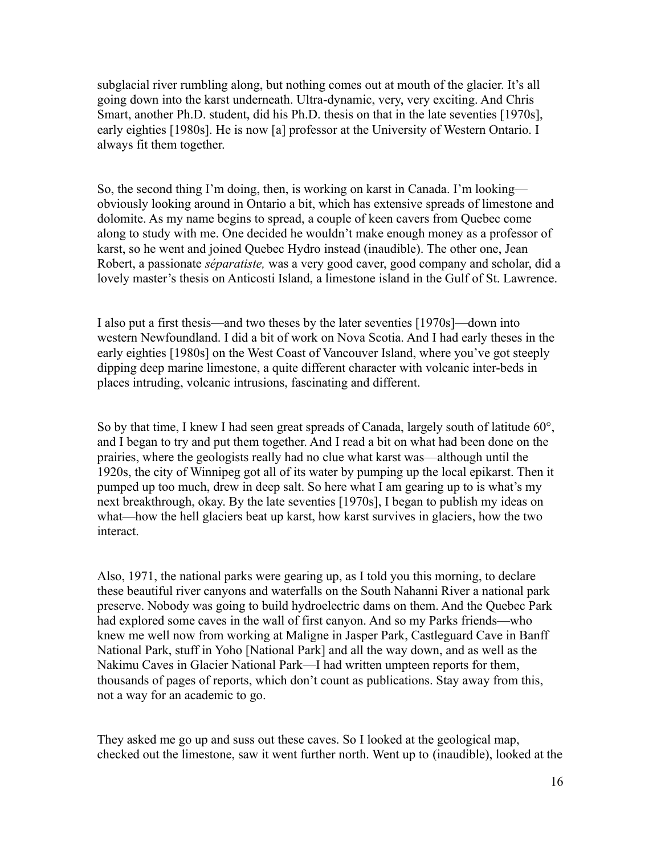subglacial river rumbling along, but nothing comes out at mouth of the glacier. It's all going down into the karst underneath. Ultra-dynamic, very, very exciting. And Chris Smart, another Ph.D. student, did his Ph.D. thesis on that in the late seventies [1970s], early eighties [1980s]. He is now [a] professor at the University of Western Ontario. I always fit them together.

So, the second thing I'm doing, then, is working on karst in Canada. I'm looking obviously looking around in Ontario a bit, which has extensive spreads of limestone and dolomite. As my name begins to spread, a couple of keen cavers from Quebec come along to study with me. One decided he wouldn't make enough money as a professor of karst, so he went and joined Quebec Hydro instead (inaudible). The other one, Jean Robert, a passionate *séparatiste,* was a very good caver, good company and scholar, did a lovely master's thesis on Anticosti Island, a limestone island in the Gulf of St. Lawrence.

I also put a first thesis—and two theses by the later seventies [1970s]—down into western Newfoundland. I did a bit of work on Nova Scotia. And I had early theses in the early eighties [1980s] on the West Coast of Vancouver Island, where you've got steeply dipping deep marine limestone, a quite different character with volcanic inter-beds in places intruding, volcanic intrusions, fascinating and different.

So by that time, I knew I had seen great spreads of Canada, largely south of latitude 60°, and I began to try and put them together. And I read a bit on what had been done on the prairies, where the geologists really had no clue what karst was—although until the 1920s, the city of Winnipeg got all of its water by pumping up the local epikarst. Then it pumped up too much, drew in deep salt. So here what I am gearing up to is what's my next breakthrough, okay. By the late seventies [1970s], I began to publish my ideas on what—how the hell glaciers beat up karst, how karst survives in glaciers, how the two interact.

Also, 1971, the national parks were gearing up, as I told you this morning, to declare these beautiful river canyons and waterfalls on the South Nahanni River a national park preserve. Nobody was going to build hydroelectric dams on them. And the Quebec Park had explored some caves in the wall of first canyon. And so my Parks friends—who knew me well now from working at Maligne in Jasper Park, Castleguard Cave in Banff National Park, stuff in Yoho [National Park] and all the way down, and as well as the Nakimu Caves in Glacier National Park—I had written umpteen reports for them, thousands of pages of reports, which don't count as publications. Stay away from this, not a way for an academic to go.

They asked me go up and suss out these caves. So I looked at the geological map, checked out the limestone, saw it went further north. Went up to (inaudible), looked at the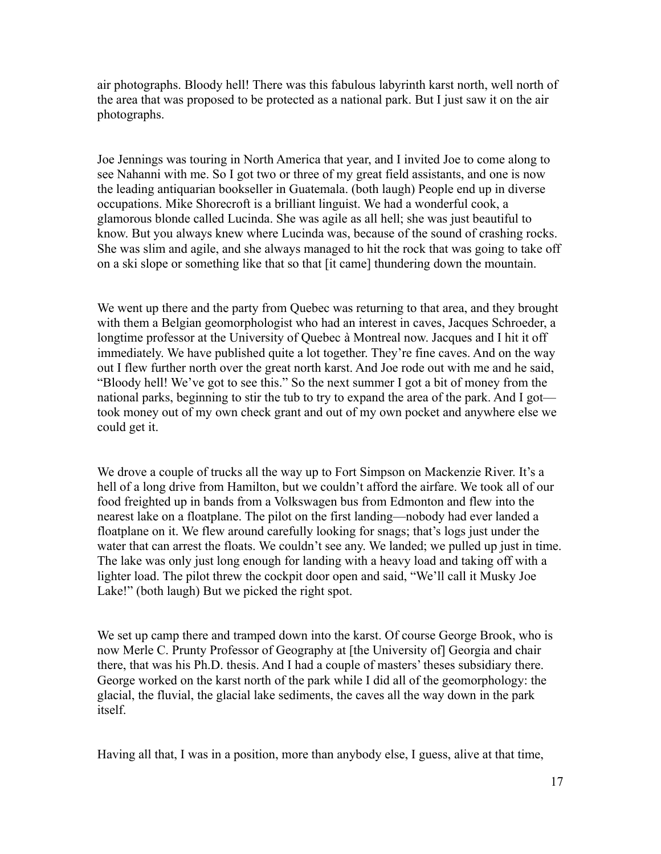air photographs. Bloody hell! There was this fabulous labyrinth karst north, well north of the area that was proposed to be protected as a national park. But I just saw it on the air photographs.

Joe Jennings was touring in North America that year, and I invited Joe to come along to see Nahanni with me. So I got two or three of my great field assistants, and one is now the leading antiquarian bookseller in Guatemala. (both laugh) People end up in diverse occupations. Mike Shorecroft is a brilliant linguist. We had a wonderful cook, a glamorous blonde called Lucinda. She was agile as all hell; she was just beautiful to know. But you always knew where Lucinda was, because of the sound of crashing rocks. She was slim and agile, and she always managed to hit the rock that was going to take off on a ski slope or something like that so that [it came] thundering down the mountain.

We went up there and the party from Quebec was returning to that area, and they brought with them a Belgian geomorphologist who had an interest in caves, Jacques Schroeder, a longtime professor at the University of Quebec à Montreal now. Jacques and I hit it off immediately. We have published quite a lot together. They're fine caves. And on the way out I flew further north over the great north karst. And Joe rode out with me and he said, "Bloody hell! We've got to see this." So the next summer I got a bit of money from the national parks, beginning to stir the tub to try to expand the area of the park. And I got took money out of my own check grant and out of my own pocket and anywhere else we could get it.

We drove a couple of trucks all the way up to Fort Simpson on Mackenzie River. It's a hell of a long drive from Hamilton, but we couldn't afford the airfare. We took all of our food freighted up in bands from a Volkswagen bus from Edmonton and flew into the nearest lake on a floatplane. The pilot on the first landing—nobody had ever landed a floatplane on it. We flew around carefully looking for snags; that's logs just under the water that can arrest the floats. We couldn't see any. We landed; we pulled up just in time. The lake was only just long enough for landing with a heavy load and taking off with a lighter load. The pilot threw the cockpit door open and said, "We'll call it Musky Joe Lake!" (both laugh) But we picked the right spot.

We set up camp there and tramped down into the karst. Of course George Brook, who is now Merle C. Prunty Professor of Geography at [the University of] Georgia and chair there, that was his Ph.D. thesis. And I had a couple of masters' theses subsidiary there. George worked on the karst north of the park while I did all of the geomorphology: the glacial, the fluvial, the glacial lake sediments, the caves all the way down in the park itself.

Having all that, I was in a position, more than anybody else, I guess, alive at that time,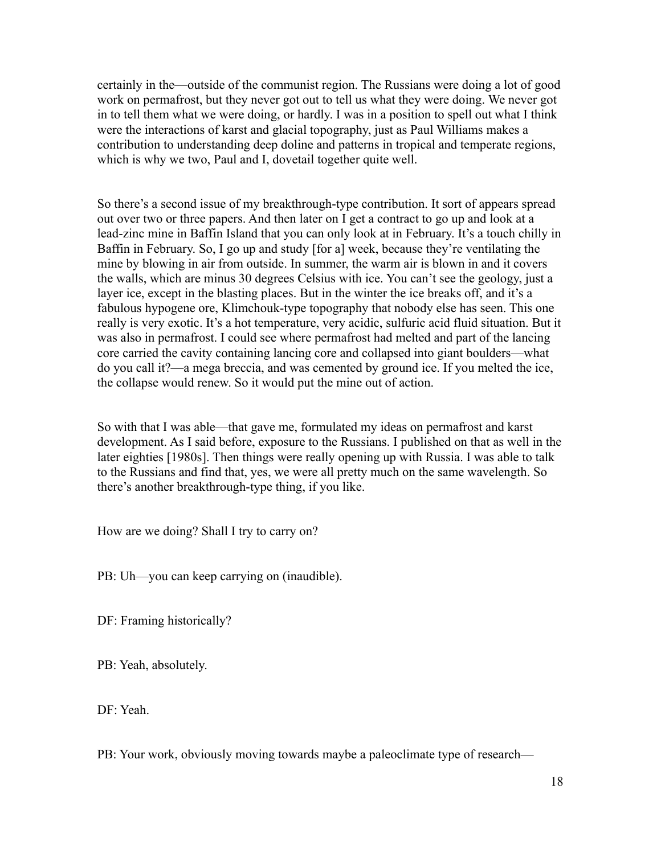certainly in the—outside of the communist region. The Russians were doing a lot of good work on permafrost, but they never got out to tell us what they were doing. We never got in to tell them what we were doing, or hardly. I was in a position to spell out what I think were the interactions of karst and glacial topography, just as Paul Williams makes a contribution to understanding deep doline and patterns in tropical and temperate regions, which is why we two, Paul and I, dovetail together quite well.

So there's a second issue of my breakthrough-type contribution. It sort of appears spread out over two or three papers. And then later on I get a contract to go up and look at a lead-zinc mine in Baffin Island that you can only look at in February. It's a touch chilly in Baffin in February. So, I go up and study [for a] week, because they're ventilating the mine by blowing in air from outside. In summer, the warm air is blown in and it covers the walls, which are minus 30 degrees Celsius with ice. You can't see the geology, just a layer ice, except in the blasting places. But in the winter the ice breaks off, and it's a fabulous hypogene ore, Klimchouk-type topography that nobody else has seen. This one really is very exotic. It's a hot temperature, very acidic, sulfuric acid fluid situation. But it was also in permafrost. I could see where permafrost had melted and part of the lancing core carried the cavity containing lancing core and collapsed into giant boulders—what do you call it?—a mega breccia, and was cemented by ground ice. If you melted the ice, the collapse would renew. So it would put the mine out of action.

So with that I was able—that gave me, formulated my ideas on permafrost and karst development. As I said before, exposure to the Russians. I published on that as well in the later eighties [1980s]. Then things were really opening up with Russia. I was able to talk to the Russians and find that, yes, we were all pretty much on the same wavelength. So there's another breakthrough-type thing, if you like.

How are we doing? Shall I try to carry on?

PB: Uh—you can keep carrying on (inaudible).

DF: Framing historically?

PB: Yeah, absolutely.

DF: Yeah.

PB: Your work, obviously moving towards maybe a paleoclimate type of research—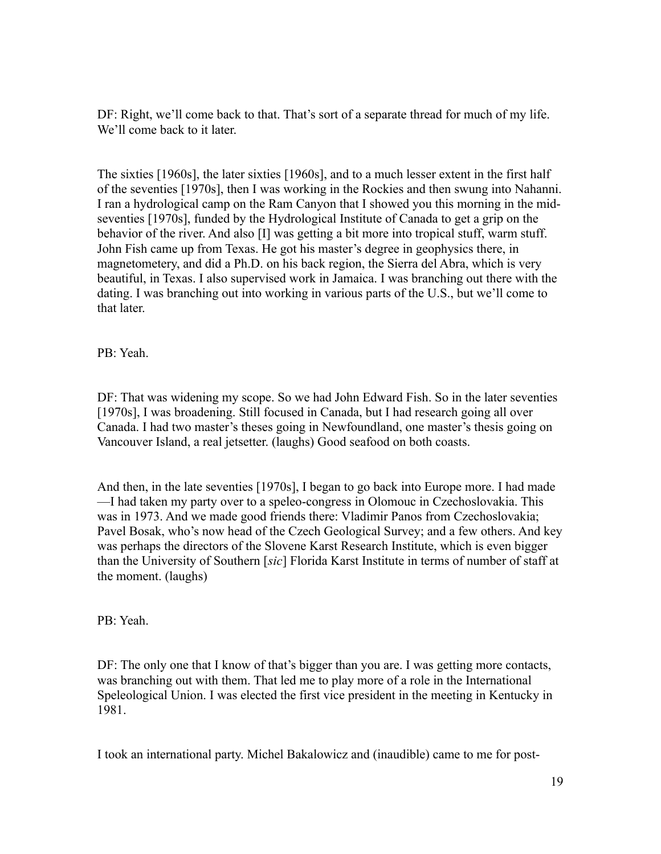DF: Right, we'll come back to that. That's sort of a separate thread for much of my life. We'll come back to it later.

The sixties [1960s], the later sixties [1960s], and to a much lesser extent in the first half of the seventies [1970s], then I was working in the Rockies and then swung into Nahanni. I ran a hydrological camp on the Ram Canyon that I showed you this morning in the midseventies [1970s], funded by the Hydrological Institute of Canada to get a grip on the behavior of the river. And also [I] was getting a bit more into tropical stuff, warm stuff. John Fish came up from Texas. He got his master's degree in geophysics there, in magnetometery, and did a Ph.D. on his back region, the Sierra del Abra, which is very beautiful, in Texas. I also supervised work in Jamaica. I was branching out there with the dating. I was branching out into working in various parts of the U.S., but we'll come to that later.

PB: Yeah.

DF: That was widening my scope. So we had John Edward Fish. So in the later seventies [1970s], I was broadening. Still focused in Canada, but I had research going all over Canada. I had two master's theses going in Newfoundland, one master's thesis going on Vancouver Island, a real jetsetter. (laughs) Good seafood on both coasts.

And then, in the late seventies [1970s], I began to go back into Europe more. I had made —I had taken my party over to a speleo-congress in Olomouc in Czechoslovakia. This was in 1973. And we made good friends there: Vladimir Panos from Czechoslovakia; Pavel Bosak, who's now head of the Czech Geological Survey; and a few others. And key was perhaps the directors of the Slovene Karst Research Institute, which is even bigger than the University of Southern [*sic*] Florida Karst Institute in terms of number of staff at the moment. (laughs)

PB: Yeah.

DF: The only one that I know of that's bigger than you are. I was getting more contacts, was branching out with them. That led me to play more of a role in the International Speleological Union. I was elected the first vice president in the meeting in Kentucky in 1981.

I took an international party. Michel Bakalowicz and (inaudible) came to me for post-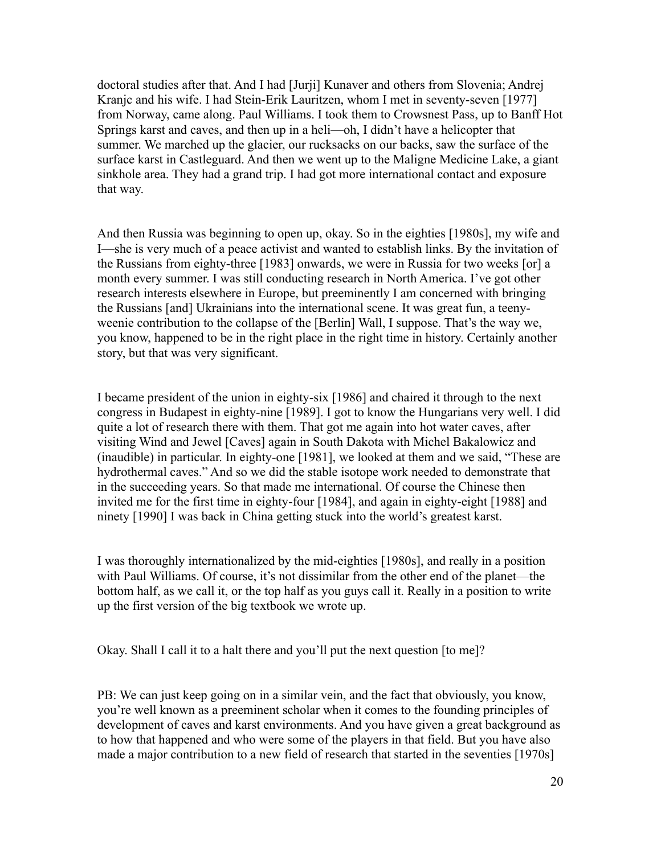doctoral studies after that. And I had [Jurji] Kunaver and others from Slovenia; Andrej Kranjc and his wife. I had Stein-Erik Lauritzen, whom I met in seventy-seven [1977] from Norway, came along. Paul Williams. I took them to Crowsnest Pass, up to Banff Hot Springs karst and caves, and then up in a heli—oh, I didn't have a helicopter that summer. We marched up the glacier, our rucksacks on our backs, saw the surface of the surface karst in Castleguard. And then we went up to the Maligne Medicine Lake, a giant sinkhole area. They had a grand trip. I had got more international contact and exposure that way.

And then Russia was beginning to open up, okay. So in the eighties [1980s], my wife and I—she is very much of a peace activist and wanted to establish links. By the invitation of the Russians from eighty-three [1983] onwards, we were in Russia for two weeks [or] a month every summer. I was still conducting research in North America. I've got other research interests elsewhere in Europe, but preeminently I am concerned with bringing the Russians [and] Ukrainians into the international scene. It was great fun, a teenyweenie contribution to the collapse of the [Berlin] Wall, I suppose. That's the way we, you know, happened to be in the right place in the right time in history. Certainly another story, but that was very significant.

I became president of the union in eighty-six [1986] and chaired it through to the next congress in Budapest in eighty-nine [1989]. I got to know the Hungarians very well. I did quite a lot of research there with them. That got me again into hot water caves, after visiting Wind and Jewel [Caves] again in South Dakota with Michel Bakalowicz and (inaudible) in particular. In eighty-one [1981], we looked at them and we said, "These are hydrothermal caves." And so we did the stable isotope work needed to demonstrate that in the succeeding years. So that made me international. Of course the Chinese then invited me for the first time in eighty-four [1984], and again in eighty-eight [1988] and ninety [1990] I was back in China getting stuck into the world's greatest karst.

I was thoroughly internationalized by the mid-eighties [1980s], and really in a position with Paul Williams. Of course, it's not dissimilar from the other end of the planet—the bottom half, as we call it, or the top half as you guys call it. Really in a position to write up the first version of the big textbook we wrote up.

Okay. Shall I call it to a halt there and you'll put the next question [to me]?

PB: We can just keep going on in a similar vein, and the fact that obviously, you know, you're well known as a preeminent scholar when it comes to the founding principles of development of caves and karst environments. And you have given a great background as to how that happened and who were some of the players in that field. But you have also made a major contribution to a new field of research that started in the seventies [1970s]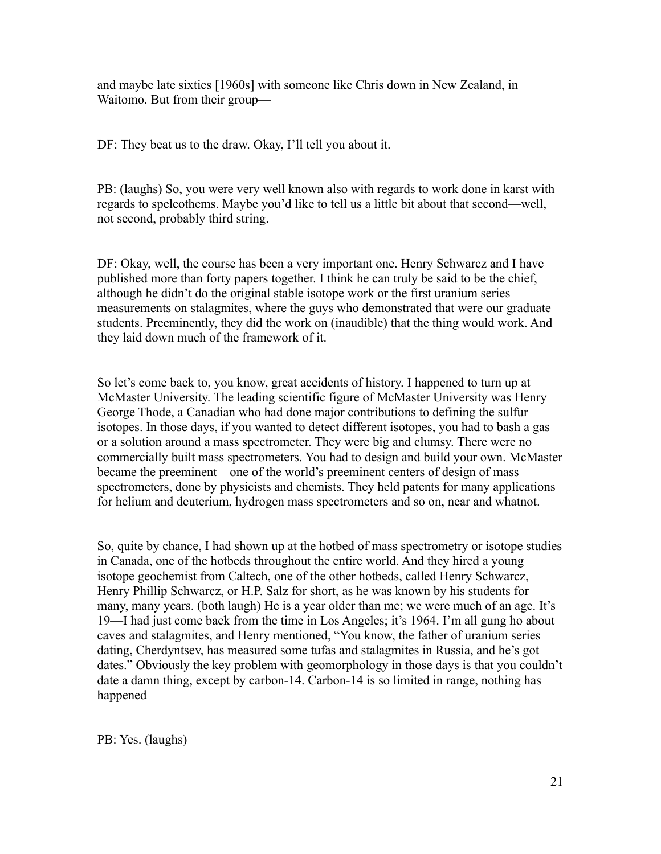and maybe late sixties [1960s] with someone like Chris down in New Zealand, in Waitomo. But from their group—

DF: They beat us to the draw. Okay, I'll tell you about it.

PB: (laughs) So, you were very well known also with regards to work done in karst with regards to speleothems. Maybe you'd like to tell us a little bit about that second—well, not second, probably third string.

DF: Okay, well, the course has been a very important one. Henry Schwarcz and I have published more than forty papers together. I think he can truly be said to be the chief, although he didn't do the original stable isotope work or the first uranium series measurements on stalagmites, where the guys who demonstrated that were our graduate students. Preeminently, they did the work on (inaudible) that the thing would work. And they laid down much of the framework of it.

So let's come back to, you know, great accidents of history. I happened to turn up at McMaster University. The leading scientific figure of McMaster University was Henry George Thode, a Canadian who had done major contributions to defining the sulfur isotopes. In those days, if you wanted to detect different isotopes, you had to bash a gas or a solution around a mass spectrometer. They were big and clumsy. There were no commercially built mass spectrometers. You had to design and build your own. McMaster became the preeminent—one of the world's preeminent centers of design of mass spectrometers, done by physicists and chemists. They held patents for many applications for helium and deuterium, hydrogen mass spectrometers and so on, near and whatnot.

So, quite by chance, I had shown up at the hotbed of mass spectrometry or isotope studies in Canada, one of the hotbeds throughout the entire world. And they hired a young isotope geochemist from Caltech, one of the other hotbeds, called Henry Schwarcz, Henry Phillip Schwarcz, or H.P. Salz for short, as he was known by his students for many, many years. (both laugh) He is a year older than me; we were much of an age. It's 19—I had just come back from the time in Los Angeles; it's 1964. I'm all gung ho about caves and stalagmites, and Henry mentioned, "You know, the father of uranium series dating, Cherdyntsev, has measured some tufas and stalagmites in Russia, and he's got dates." Obviously the key problem with geomorphology in those days is that you couldn't date a damn thing, except by carbon-14. Carbon-14 is so limited in range, nothing has happened—

PB: Yes. (laughs)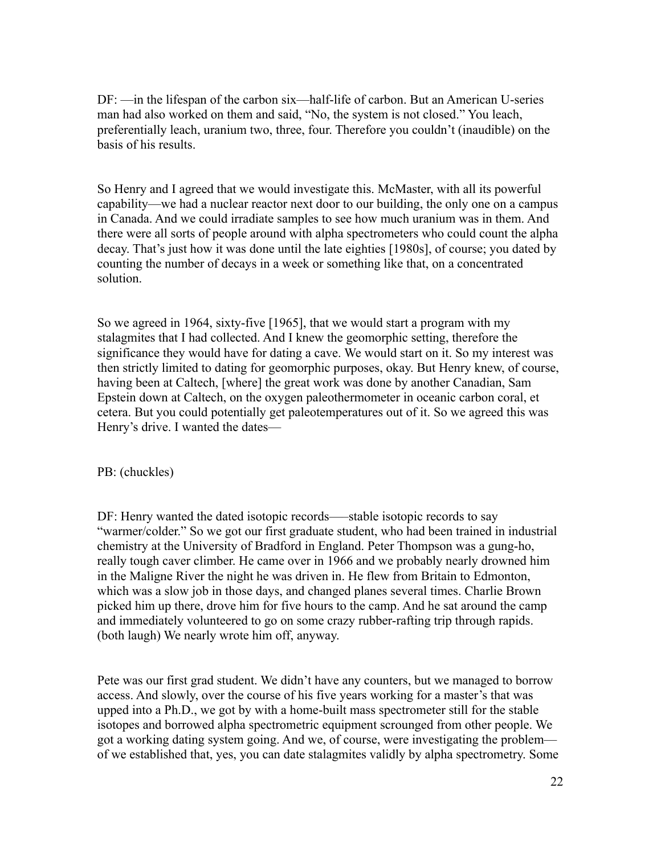DF: —in the lifespan of the carbon six—half-life of carbon. But an American U-series man had also worked on them and said, "No, the system is not closed." You leach, preferentially leach, uranium two, three, four. Therefore you couldn't (inaudible) on the basis of his results.

So Henry and I agreed that we would investigate this. McMaster, with all its powerful capability—we had a nuclear reactor next door to our building, the only one on a campus in Canada. And we could irradiate samples to see how much uranium was in them. And there were all sorts of people around with alpha spectrometers who could count the alpha decay. That's just how it was done until the late eighties [1980s], of course; you dated by counting the number of decays in a week or something like that, on a concentrated solution.

So we agreed in 1964, sixty-five [1965], that we would start a program with my stalagmites that I had collected. And I knew the geomorphic setting, therefore the significance they would have for dating a cave. We would start on it. So my interest was then strictly limited to dating for geomorphic purposes, okay. But Henry knew, of course, having been at Caltech, [where] the great work was done by another Canadian, Sam Epstein down at Caltech, on the oxygen paleothermometer in oceanic carbon coral, et cetera. But you could potentially get paleotemperatures out of it. So we agreed this was Henry's drive. I wanted the dates—

PB: (chuckles)

DF: Henry wanted the dated isotopic records—–stable isotopic records to say "warmer/colder." So we got our first graduate student, who had been trained in industrial chemistry at the University of Bradford in England. Peter Thompson was a gung-ho, really tough caver climber. He came over in 1966 and we probably nearly drowned him in the Maligne River the night he was driven in. He flew from Britain to Edmonton, which was a slow job in those days, and changed planes several times. Charlie Brown picked him up there, drove him for five hours to the camp. And he sat around the camp and immediately volunteered to go on some crazy rubber-rafting trip through rapids. (both laugh) We nearly wrote him off, anyway.

Pete was our first grad student. We didn't have any counters, but we managed to borrow access. And slowly, over the course of his five years working for a master's that was upped into a Ph.D., we got by with a home-built mass spectrometer still for the stable isotopes and borrowed alpha spectrometric equipment scrounged from other people. We got a working dating system going. And we, of course, were investigating the problem of we established that, yes, you can date stalagmites validly by alpha spectrometry. Some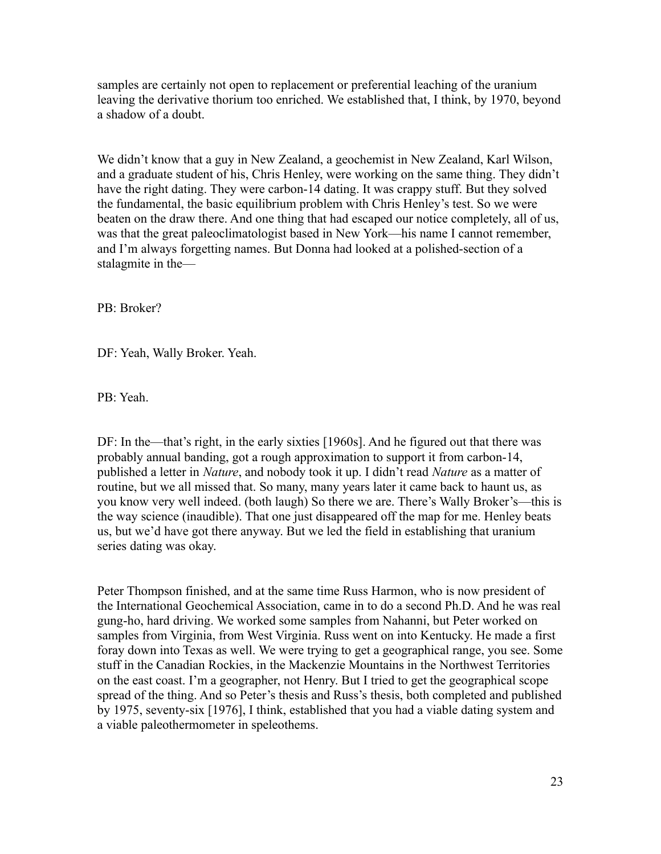samples are certainly not open to replacement or preferential leaching of the uranium leaving the derivative thorium too enriched. We established that, I think, by 1970, beyond a shadow of a doubt.

We didn't know that a guy in New Zealand, a geochemist in New Zealand, Karl Wilson, and a graduate student of his, Chris Henley, were working on the same thing. They didn't have the right dating. They were carbon-14 dating. It was crappy stuff. But they solved the fundamental, the basic equilibrium problem with Chris Henley's test. So we were beaten on the draw there. And one thing that had escaped our notice completely, all of us, was that the great paleoclimatologist based in New York—his name I cannot remember, and I'm always forgetting names. But Donna had looked at a polished-section of a stalagmite in the—

PB: Broker?

DF: Yeah, Wally Broker. Yeah.

PB: Yeah.

DF: In the—that's right, in the early sixties [1960s]. And he figured out that there was probably annual banding, got a rough approximation to support it from carbon-14, published a letter in *Nature*, and nobody took it up. I didn't read *Nature* as a matter of routine, but we all missed that. So many, many years later it came back to haunt us, as you know very well indeed. (both laugh) So there we are. There's Wally Broker's—this is the way science (inaudible). That one just disappeared off the map for me. Henley beats us, but we'd have got there anyway. But we led the field in establishing that uranium series dating was okay.

Peter Thompson finished, and at the same time Russ Harmon, who is now president of the International Geochemical Association, came in to do a second Ph.D. And he was real gung-ho, hard driving. We worked some samples from Nahanni, but Peter worked on samples from Virginia, from West Virginia. Russ went on into Kentucky. He made a first foray down into Texas as well. We were trying to get a geographical range, you see. Some stuff in the Canadian Rockies, in the Mackenzie Mountains in the Northwest Territories on the east coast. I'm a geographer, not Henry. But I tried to get the geographical scope spread of the thing. And so Peter's thesis and Russ's thesis, both completed and published by 1975, seventy-six [1976], I think, established that you had a viable dating system and a viable paleothermometer in speleothems.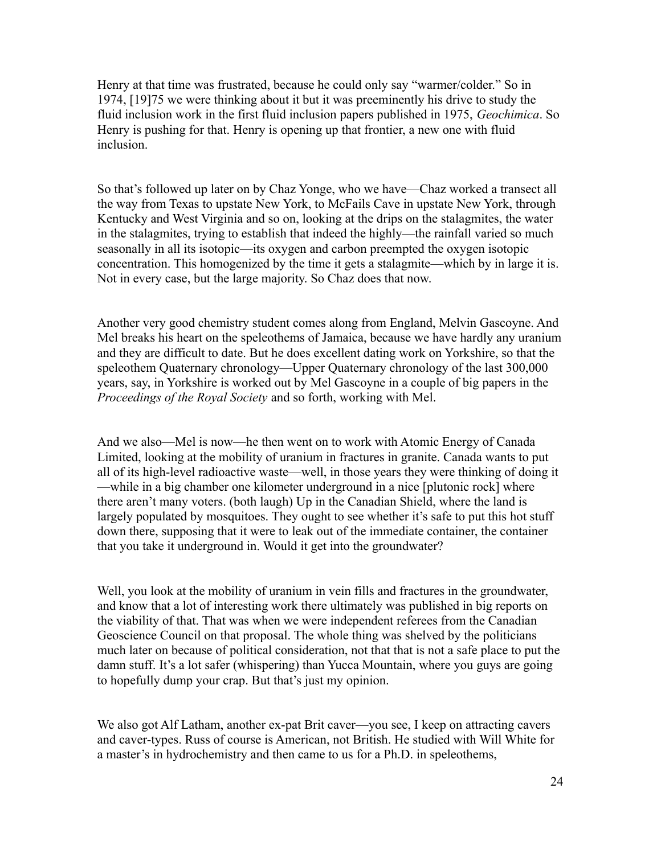Henry at that time was frustrated, because he could only say "warmer/colder." So in 1974, [19]75 we were thinking about it but it was preeminently his drive to study the fluid inclusion work in the first fluid inclusion papers published in 1975, *Geochimica*. So Henry is pushing for that. Henry is opening up that frontier, a new one with fluid inclusion.

So that's followed up later on by Chaz Yonge, who we have—Chaz worked a transect all the way from Texas to upstate New York, to McFails Cave in upstate New York, through Kentucky and West Virginia and so on, looking at the drips on the stalagmites, the water in the stalagmites, trying to establish that indeed the highly—the rainfall varied so much seasonally in all its isotopic—its oxygen and carbon preempted the oxygen isotopic concentration. This homogenized by the time it gets a stalagmite—which by in large it is. Not in every case, but the large majority. So Chaz does that now.

Another very good chemistry student comes along from England, Melvin Gascoyne. And Mel breaks his heart on the speleothems of Jamaica, because we have hardly any uranium and they are difficult to date. But he does excellent dating work on Yorkshire, so that the speleothem Quaternary chronology—Upper Quaternary chronology of the last 300,000 years, say, in Yorkshire is worked out by Mel Gascoyne in a couple of big papers in the *Proceedings of the Royal Society* and so forth, working with Mel.

And we also—Mel is now—he then went on to work with Atomic Energy of Canada Limited, looking at the mobility of uranium in fractures in granite. Canada wants to put all of its high-level radioactive waste—well, in those years they were thinking of doing it —while in a big chamber one kilometer underground in a nice [plutonic rock] where there aren't many voters. (both laugh) Up in the Canadian Shield, where the land is largely populated by mosquitoes. They ought to see whether it's safe to put this hot stuff down there, supposing that it were to leak out of the immediate container, the container that you take it underground in. Would it get into the groundwater?

Well, you look at the mobility of uranium in vein fills and fractures in the groundwater, and know that a lot of interesting work there ultimately was published in big reports on the viability of that. That was when we were independent referees from the Canadian Geoscience Council on that proposal. The whole thing was shelved by the politicians much later on because of political consideration, not that that is not a safe place to put the damn stuff. It's a lot safer (whispering) than Yucca Mountain, where you guys are going to hopefully dump your crap. But that's just my opinion.

We also got Alf Latham, another ex-pat Brit caver—you see, I keep on attracting cavers and caver-types. Russ of course is American, not British. He studied with Will White for a master's in hydrochemistry and then came to us for a Ph.D. in speleothems,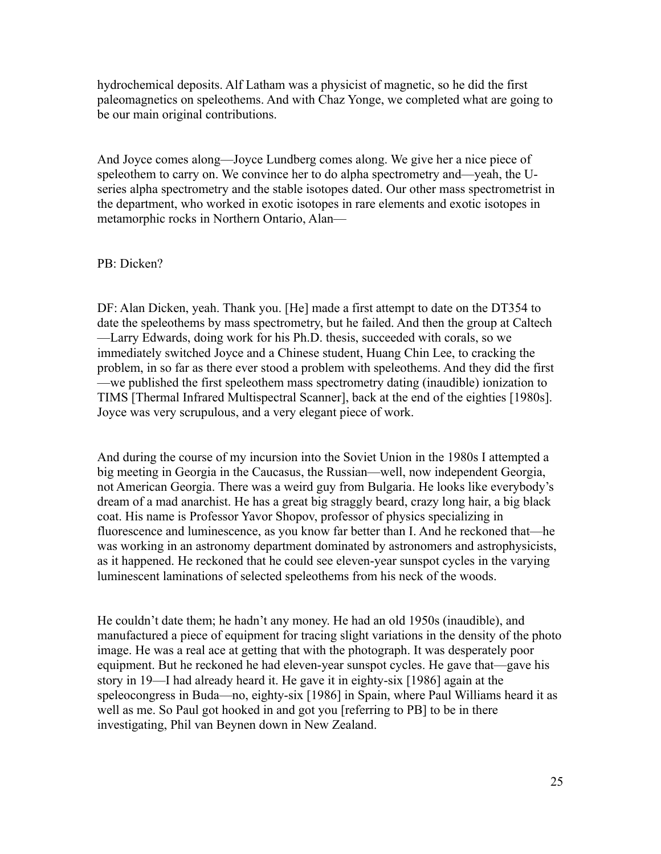hydrochemical deposits. Alf Latham was a physicist of magnetic, so he did the first paleomagnetics on speleothems. And with Chaz Yonge, we completed what are going to be our main original contributions.

And Joyce comes along—Joyce Lundberg comes along. We give her a nice piece of speleothem to carry on. We convince her to do alpha spectrometry and—yeah, the Useries alpha spectrometry and the stable isotopes dated. Our other mass spectrometrist in the department, who worked in exotic isotopes in rare elements and exotic isotopes in metamorphic rocks in Northern Ontario, Alan—

#### PB: Dicken?

DF: Alan Dicken, yeah. Thank you. [He] made a first attempt to date on the DT354 to date the speleothems by mass spectrometry, but he failed. And then the group at Caltech —Larry Edwards, doing work for his Ph.D. thesis, succeeded with corals, so we immediately switched Joyce and a Chinese student, Huang Chin Lee, to cracking the problem, in so far as there ever stood a problem with speleothems. And they did the first —we published the first speleothem mass spectrometry dating (inaudible) ionization to TIMS [Thermal Infrared Multispectral Scanner], back at the end of the eighties [1980s]. Joyce was very scrupulous, and a very elegant piece of work.

And during the course of my incursion into the Soviet Union in the 1980s I attempted a big meeting in Georgia in the Caucasus, the Russian—well, now independent Georgia, not American Georgia. There was a weird guy from Bulgaria. He looks like everybody's dream of a mad anarchist. He has a great big straggly beard, crazy long hair, a big black coat. His name is Professor Yavor Shopov, professor of physics specializing in fluorescence and luminescence, as you know far better than I. And he reckoned that—he was working in an astronomy department dominated by astronomers and astrophysicists, as it happened. He reckoned that he could see eleven-year sunspot cycles in the varying luminescent laminations of selected speleothems from his neck of the woods.

He couldn't date them; he hadn't any money. He had an old 1950s (inaudible), and manufactured a piece of equipment for tracing slight variations in the density of the photo image. He was a real ace at getting that with the photograph. It was desperately poor equipment. But he reckoned he had eleven-year sunspot cycles. He gave that—gave his story in 19—I had already heard it. He gave it in eighty-six [1986] again at the speleocongress in Buda—no, eighty-six [1986] in Spain, where Paul Williams heard it as well as me. So Paul got hooked in and got you [referring to PB] to be in there investigating, Phil van Beynen down in New Zealand.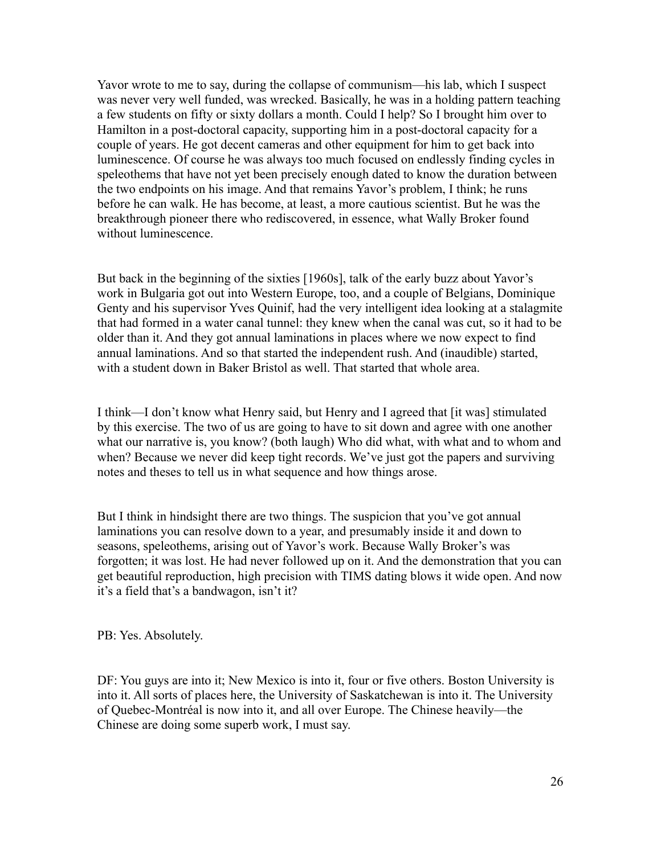Yavor wrote to me to say, during the collapse of communism—his lab, which I suspect was never very well funded, was wrecked. Basically, he was in a holding pattern teaching a few students on fifty or sixty dollars a month. Could I help? So I brought him over to Hamilton in a post-doctoral capacity, supporting him in a post-doctoral capacity for a couple of years. He got decent cameras and other equipment for him to get back into luminescence. Of course he was always too much focused on endlessly finding cycles in speleothems that have not yet been precisely enough dated to know the duration between the two endpoints on his image. And that remains Yavor's problem, I think; he runs before he can walk. He has become, at least, a more cautious scientist. But he was the breakthrough pioneer there who rediscovered, in essence, what Wally Broker found without luminescence

But back in the beginning of the sixties [1960s], talk of the early buzz about Yavor's work in Bulgaria got out into Western Europe, too, and a couple of Belgians, Dominique Genty and his supervisor Yves Quinif, had the very intelligent idea looking at a stalagmite that had formed in a water canal tunnel: they knew when the canal was cut, so it had to be older than it. And they got annual laminations in places where we now expect to find annual laminations. And so that started the independent rush. And (inaudible) started, with a student down in Baker Bristol as well. That started that whole area.

I think—I don't know what Henry said, but Henry and I agreed that [it was] stimulated by this exercise. The two of us are going to have to sit down and agree with one another what our narrative is, you know? (both laugh) Who did what, with what and to whom and when? Because we never did keep tight records. We've just got the papers and surviving notes and theses to tell us in what sequence and how things arose.

But I think in hindsight there are two things. The suspicion that you've got annual laminations you can resolve down to a year, and presumably inside it and down to seasons, speleothems, arising out of Yavor's work. Because Wally Broker's was forgotten; it was lost. He had never followed up on it. And the demonstration that you can get beautiful reproduction, high precision with TIMS dating blows it wide open. And now it's a field that's a bandwagon, isn't it?

PB: Yes. Absolutely.

DF: You guys are into it; New Mexico is into it, four or five others. Boston University is into it. All sorts of places here, the University of Saskatchewan is into it. The University of Quebec-Montréal is now into it, and all over Europe. The Chinese heavily—the Chinese are doing some superb work, I must say.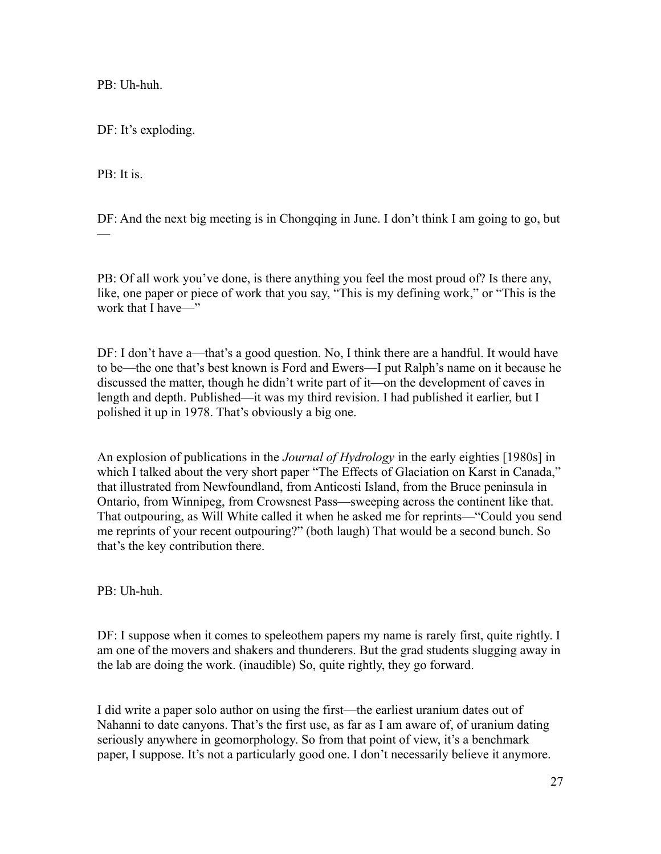PB: Uh-huh.

DF: It's exploding.

PB: It is.

DF: And the next big meeting is in Chongqing in June. I don't think I am going to go, but —<br>—

PB: Of all work you've done, is there anything you feel the most proud of? Is there any, like, one paper or piece of work that you say, "This is my defining work," or "This is the work that I have—"

DF: I don't have a—that's a good question. No, I think there are a handful. It would have to be—the one that's best known is Ford and Ewers—I put Ralph's name on it because he discussed the matter, though he didn't write part of it—on the development of caves in length and depth. Published—it was my third revision. I had published it earlier, but I polished it up in 1978. That's obviously a big one.

An explosion of publications in the *Journal of Hydrology* in the early eighties [1980s] in which I talked about the very short paper "The Effects of Glaciation on Karst in Canada," that illustrated from Newfoundland, from Anticosti Island, from the Bruce peninsula in Ontario, from Winnipeg, from Crowsnest Pass—sweeping across the continent like that. That outpouring, as Will White called it when he asked me for reprints—"Could you send me reprints of your recent outpouring?" (both laugh) That would be a second bunch. So that's the key contribution there.

PB: Uh-huh.

DF: I suppose when it comes to speleothem papers my name is rarely first, quite rightly. I am one of the movers and shakers and thunderers. But the grad students slugging away in the lab are doing the work. (inaudible) So, quite rightly, they go forward.

I did write a paper solo author on using the first—the earliest uranium dates out of Nahanni to date canyons. That's the first use, as far as I am aware of, of uranium dating seriously anywhere in geomorphology. So from that point of view, it's a benchmark paper, I suppose. It's not a particularly good one. I don't necessarily believe it anymore.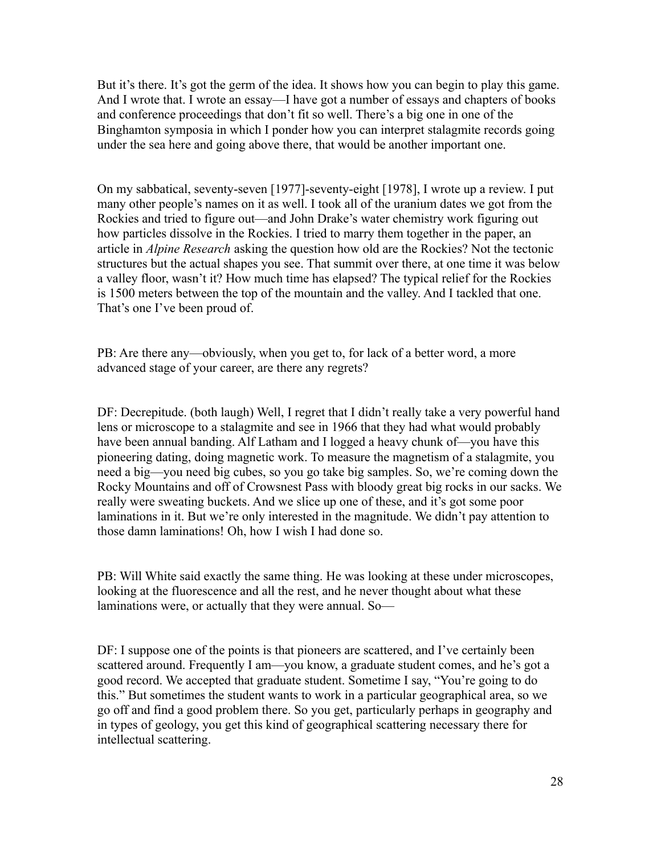But it's there. It's got the germ of the idea. It shows how you can begin to play this game. And I wrote that. I wrote an essay—I have got a number of essays and chapters of books and conference proceedings that don't fit so well. There's a big one in one of the Binghamton symposia in which I ponder how you can interpret stalagmite records going under the sea here and going above there, that would be another important one.

On my sabbatical, seventy-seven [1977]-seventy-eight [1978], I wrote up a review. I put many other people's names on it as well. I took all of the uranium dates we got from the Rockies and tried to figure out—and John Drake's water chemistry work figuring out how particles dissolve in the Rockies. I tried to marry them together in the paper, an article in *Alpine Research* asking the question how old are the Rockies? Not the tectonic structures but the actual shapes you see. That summit over there, at one time it was below a valley floor, wasn't it? How much time has elapsed? The typical relief for the Rockies is 1500 meters between the top of the mountain and the valley. And I tackled that one. That's one I've been proud of.

PB: Are there any—obviously, when you get to, for lack of a better word, a more advanced stage of your career, are there any regrets?

DF: Decrepitude. (both laugh) Well, I regret that I didn't really take a very powerful hand lens or microscope to a stalagmite and see in 1966 that they had what would probably have been annual banding. Alf Latham and I logged a heavy chunk of—you have this pioneering dating, doing magnetic work. To measure the magnetism of a stalagmite, you need a big—you need big cubes, so you go take big samples. So, we're coming down the Rocky Mountains and off of Crowsnest Pass with bloody great big rocks in our sacks. We really were sweating buckets. And we slice up one of these, and it's got some poor laminations in it. But we're only interested in the magnitude. We didn't pay attention to those damn laminations! Oh, how I wish I had done so.

PB: Will White said exactly the same thing. He was looking at these under microscopes, looking at the fluorescence and all the rest, and he never thought about what these laminations were, or actually that they were annual. So—

DF: I suppose one of the points is that pioneers are scattered, and I've certainly been scattered around. Frequently I am—you know, a graduate student comes, and he's got a good record. We accepted that graduate student. Sometime I say, "You're going to do this." But sometimes the student wants to work in a particular geographical area, so we go off and find a good problem there. So you get, particularly perhaps in geography and in types of geology, you get this kind of geographical scattering necessary there for intellectual scattering.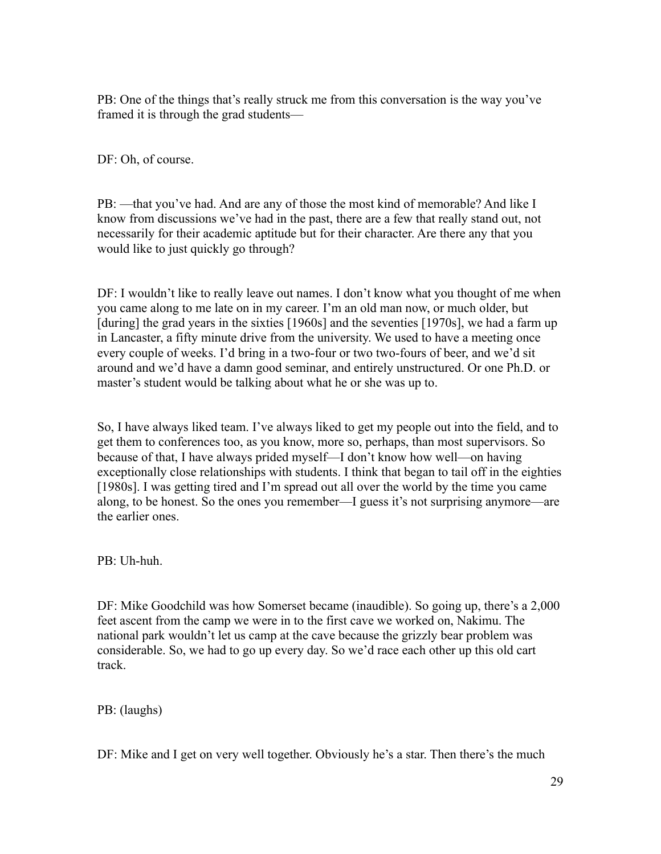PB: One of the things that's really struck me from this conversation is the way you've framed it is through the grad students—

DF: Oh, of course.

PB: —that you've had. And are any of those the most kind of memorable? And like I know from discussions we've had in the past, there are a few that really stand out, not necessarily for their academic aptitude but for their character. Are there any that you would like to just quickly go through?

DF: I wouldn't like to really leave out names. I don't know what you thought of me when you came along to me late on in my career. I'm an old man now, or much older, but [during] the grad years in the sixties [1960s] and the seventies [1970s], we had a farm up in Lancaster, a fifty minute drive from the university. We used to have a meeting once every couple of weeks. I'd bring in a two-four or two two-fours of beer, and we'd sit around and we'd have a damn good seminar, and entirely unstructured. Or one Ph.D. or master's student would be talking about what he or she was up to.

So, I have always liked team. I've always liked to get my people out into the field, and to get them to conferences too, as you know, more so, perhaps, than most supervisors. So because of that, I have always prided myself—I don't know how well—on having exceptionally close relationships with students. I think that began to tail off in the eighties [1980s]. I was getting tired and I'm spread out all over the world by the time you came along, to be honest. So the ones you remember—I guess it's not surprising anymore—are the earlier ones.

PB: Uh-huh.

DF: Mike Goodchild was how Somerset became (inaudible). So going up, there's a 2,000 feet ascent from the camp we were in to the first cave we worked on, Nakimu. The national park wouldn't let us camp at the cave because the grizzly bear problem was considerable. So, we had to go up every day. So we'd race each other up this old cart track.

PB: (laughs)

DF: Mike and I get on very well together. Obviously he's a star. Then there's the much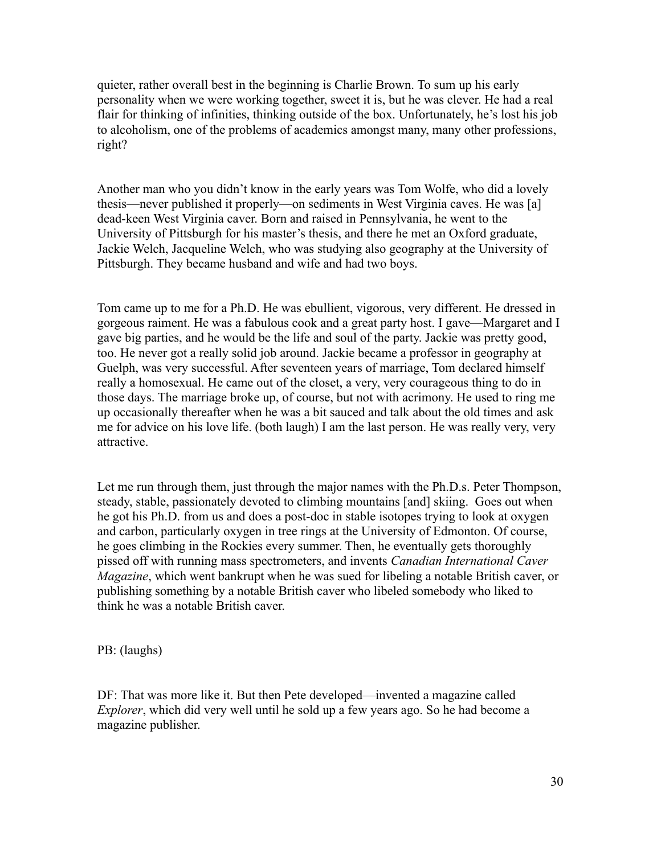quieter, rather overall best in the beginning is Charlie Brown. To sum up his early personality when we were working together, sweet it is, but he was clever. He had a real flair for thinking of infinities, thinking outside of the box. Unfortunately, he's lost his job to alcoholism, one of the problems of academics amongst many, many other professions, right?

Another man who you didn't know in the early years was Tom Wolfe, who did a lovely thesis—never published it properly—on sediments in West Virginia caves. He was [a] dead-keen West Virginia caver. Born and raised in Pennsylvania, he went to the University of Pittsburgh for his master's thesis, and there he met an Oxford graduate, Jackie Welch, Jacqueline Welch, who was studying also geography at the University of Pittsburgh. They became husband and wife and had two boys.

Tom came up to me for a Ph.D. He was ebullient, vigorous, very different. He dressed in gorgeous raiment. He was a fabulous cook and a great party host. I gave—Margaret and I gave big parties, and he would be the life and soul of the party. Jackie was pretty good, too. He never got a really solid job around. Jackie became a professor in geography at Guelph, was very successful. After seventeen years of marriage, Tom declared himself really a homosexual. He came out of the closet, a very, very courageous thing to do in those days. The marriage broke up, of course, but not with acrimony. He used to ring me up occasionally thereafter when he was a bit sauced and talk about the old times and ask me for advice on his love life. (both laugh) I am the last person. He was really very, very attractive.

Let me run through them, just through the major names with the Ph.D.s. Peter Thompson, steady, stable, passionately devoted to climbing mountains [and] skiing. Goes out when he got his Ph.D. from us and does a post-doc in stable isotopes trying to look at oxygen and carbon, particularly oxygen in tree rings at the University of Edmonton. Of course, he goes climbing in the Rockies every summer. Then, he eventually gets thoroughly pissed off with running mass spectrometers, and invents *Canadian International Caver Magazine*, which went bankrupt when he was sued for libeling a notable British caver, or publishing something by a notable British caver who libeled somebody who liked to think he was a notable British caver.

PB: (laughs)

DF: That was more like it. But then Pete developed—invented a magazine called *Explorer*, which did very well until he sold up a few years ago. So he had become a magazine publisher.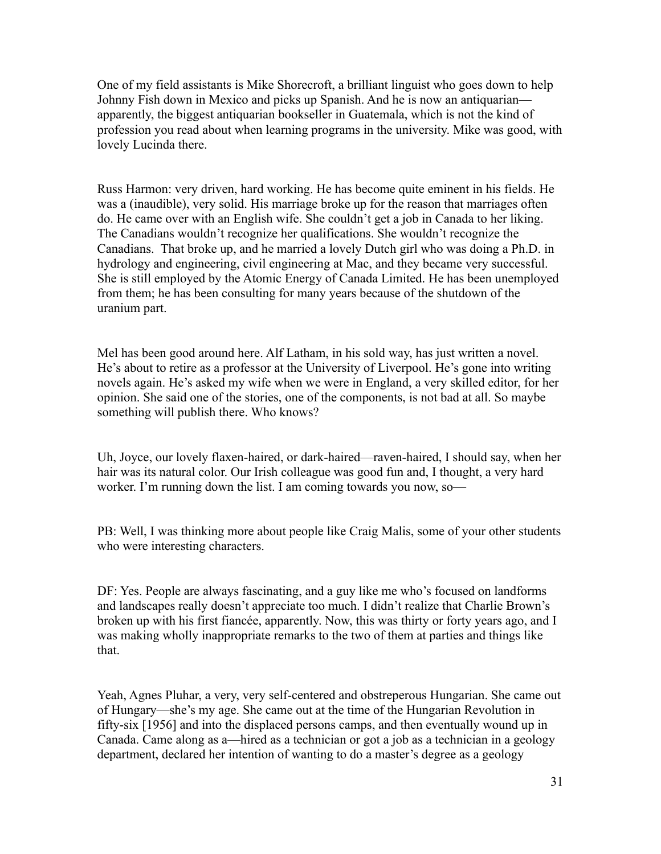One of my field assistants is Mike Shorecroft, a brilliant linguist who goes down to help Johnny Fish down in Mexico and picks up Spanish. And he is now an antiquarian apparently, the biggest antiquarian bookseller in Guatemala, which is not the kind of profession you read about when learning programs in the university. Mike was good, with lovely Lucinda there.

Russ Harmon: very driven, hard working. He has become quite eminent in his fields. He was a (inaudible), very solid. His marriage broke up for the reason that marriages often do. He came over with an English wife. She couldn't get a job in Canada to her liking. The Canadians wouldn't recognize her qualifications. She wouldn't recognize the Canadians. That broke up, and he married a lovely Dutch girl who was doing a Ph.D. in hydrology and engineering, civil engineering at Mac, and they became very successful. She is still employed by the Atomic Energy of Canada Limited. He has been unemployed from them; he has been consulting for many years because of the shutdown of the uranium part.

Mel has been good around here. Alf Latham, in his sold way, has just written a novel. He's about to retire as a professor at the University of Liverpool. He's gone into writing novels again. He's asked my wife when we were in England, a very skilled editor, for her opinion. She said one of the stories, one of the components, is not bad at all. So maybe something will publish there. Who knows?

Uh, Joyce, our lovely flaxen-haired, or dark-haired—raven-haired, I should say, when her hair was its natural color. Our Irish colleague was good fun and, I thought, a very hard worker. I'm running down the list. I am coming towards you now, so-

PB: Well, I was thinking more about people like Craig Malis, some of your other students who were interesting characters.

DF: Yes. People are always fascinating, and a guy like me who's focused on landforms and landscapes really doesn't appreciate too much. I didn't realize that Charlie Brown's broken up with his first fiancée, apparently. Now, this was thirty or forty years ago, and I was making wholly inappropriate remarks to the two of them at parties and things like that.

Yeah, Agnes Pluhar, a very, very self-centered and obstreperous Hungarian. She came out of Hungary—she's my age. She came out at the time of the Hungarian Revolution in fifty-six [1956] and into the displaced persons camps, and then eventually wound up in Canada. Came along as a—hired as a technician or got a job as a technician in a geology department, declared her intention of wanting to do a master's degree as a geology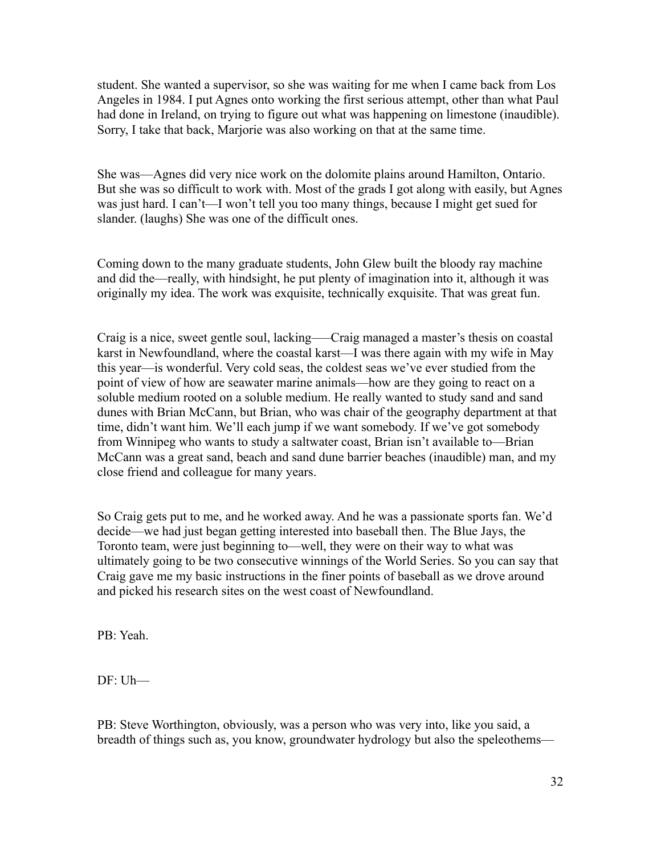student. She wanted a supervisor, so she was waiting for me when I came back from Los Angeles in 1984. I put Agnes onto working the first serious attempt, other than what Paul had done in Ireland, on trying to figure out what was happening on limestone (inaudible). Sorry, I take that back, Marjorie was also working on that at the same time.

She was—Agnes did very nice work on the dolomite plains around Hamilton, Ontario. But she was so difficult to work with. Most of the grads I got along with easily, but Agnes was just hard. I can't—I won't tell you too many things, because I might get sued for slander. (laughs) She was one of the difficult ones.

Coming down to the many graduate students, John Glew built the bloody ray machine and did the—really, with hindsight, he put plenty of imagination into it, although it was originally my idea. The work was exquisite, technically exquisite. That was great fun.

Craig is a nice, sweet gentle soul, lacking—–Craig managed a master's thesis on coastal karst in Newfoundland, where the coastal karst—I was there again with my wife in May this year—is wonderful. Very cold seas, the coldest seas we've ever studied from the point of view of how are seawater marine animals—how are they going to react on a soluble medium rooted on a soluble medium. He really wanted to study sand and sand dunes with Brian McCann, but Brian, who was chair of the geography department at that time, didn't want him. We'll each jump if we want somebody. If we've got somebody from Winnipeg who wants to study a saltwater coast, Brian isn't available to—Brian McCann was a great sand, beach and sand dune barrier beaches (inaudible) man, and my close friend and colleague for many years.

So Craig gets put to me, and he worked away. And he was a passionate sports fan. We'd decide—we had just began getting interested into baseball then. The Blue Jays, the Toronto team, were just beginning to—well, they were on their way to what was ultimately going to be two consecutive winnings of the World Series. So you can say that Craig gave me my basic instructions in the finer points of baseball as we drove around and picked his research sites on the west coast of Newfoundland.

PB: Yeah.

DF: Uh—

PB: Steve Worthington, obviously, was a person who was very into, like you said, a breadth of things such as, you know, groundwater hydrology but also the speleothems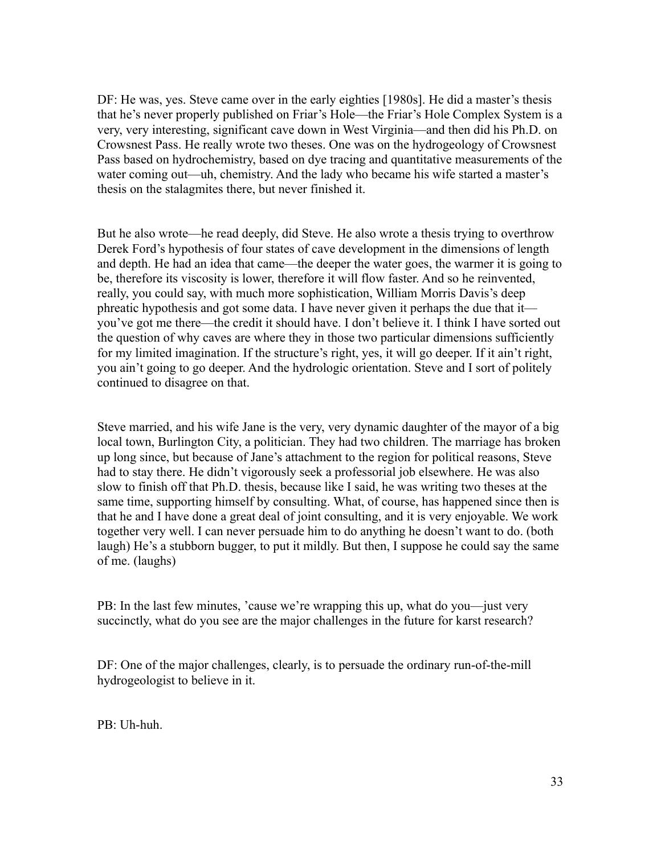DF: He was, yes. Steve came over in the early eighties [1980s]. He did a master's thesis that he's never properly published on Friar's Hole—the Friar's Hole Complex System is a very, very interesting, significant cave down in West Virginia—and then did his Ph.D. on Crowsnest Pass. He really wrote two theses. One was on the hydrogeology of Crowsnest Pass based on hydrochemistry, based on dye tracing and quantitative measurements of the water coming out—uh, chemistry. And the lady who became his wife started a master's thesis on the stalagmites there, but never finished it.

But he also wrote—he read deeply, did Steve. He also wrote a thesis trying to overthrow Derek Ford's hypothesis of four states of cave development in the dimensions of length and depth. He had an idea that came—the deeper the water goes, the warmer it is going to be, therefore its viscosity is lower, therefore it will flow faster. And so he reinvented, really, you could say, with much more sophistication, William Morris Davis's deep phreatic hypothesis and got some data. I have never given it perhaps the due that it you've got me there—the credit it should have. I don't believe it. I think I have sorted out the question of why caves are where they in those two particular dimensions sufficiently for my limited imagination. If the structure's right, yes, it will go deeper. If it ain't right, you ain't going to go deeper. And the hydrologic orientation. Steve and I sort of politely continued to disagree on that.

Steve married, and his wife Jane is the very, very dynamic daughter of the mayor of a big local town, Burlington City, a politician. They had two children. The marriage has broken up long since, but because of Jane's attachment to the region for political reasons, Steve had to stay there. He didn't vigorously seek a professorial job elsewhere. He was also slow to finish off that Ph.D. thesis, because like I said, he was writing two theses at the same time, supporting himself by consulting. What, of course, has happened since then is that he and I have done a great deal of joint consulting, and it is very enjoyable. We work together very well. I can never persuade him to do anything he doesn't want to do. (both laugh) He's a stubborn bugger, to put it mildly. But then, I suppose he could say the same of me. (laughs)

PB: In the last few minutes, 'cause we're wrapping this up, what do you—just very succinctly, what do you see are the major challenges in the future for karst research?

DF: One of the major challenges, clearly, is to persuade the ordinary run-of-the-mill hydrogeologist to believe in it.

PB: Uh-huh.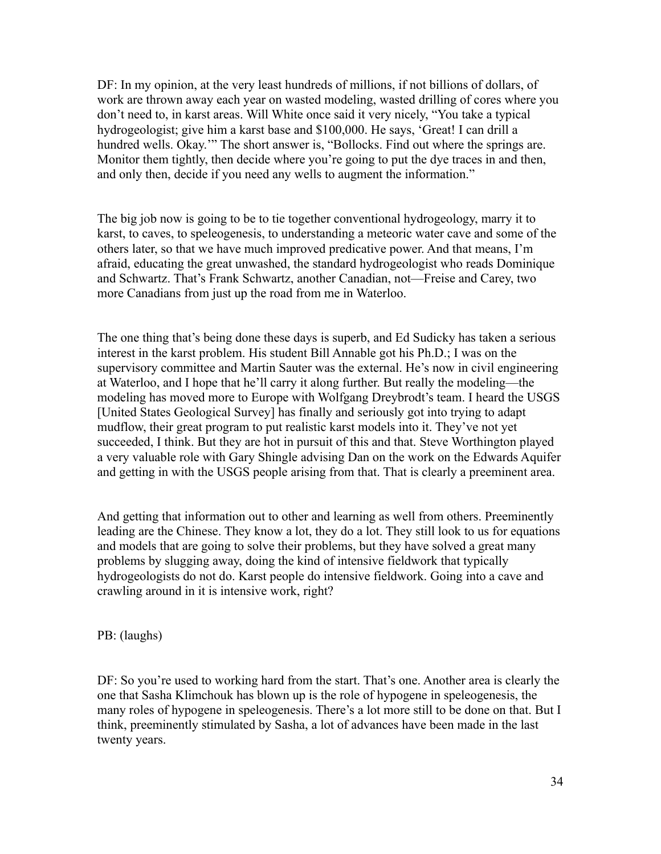DF: In my opinion, at the very least hundreds of millions, if not billions of dollars, of work are thrown away each year on wasted modeling, wasted drilling of cores where you don't need to, in karst areas. Will White once said it very nicely, "You take a typical hydrogeologist; give him a karst base and \$100,000. He says, 'Great! I can drill a hundred wells. Okay."" The short answer is, "Bollocks. Find out where the springs are. Monitor them tightly, then decide where you're going to put the dye traces in and then, and only then, decide if you need any wells to augment the information."

The big job now is going to be to tie together conventional hydrogeology, marry it to karst, to caves, to speleogenesis, to understanding a meteoric water cave and some of the others later, so that we have much improved predicative power. And that means, I'm afraid, educating the great unwashed, the standard hydrogeologist who reads Dominique and Schwartz. That's Frank Schwartz, another Canadian, not—Freise and Carey, two more Canadians from just up the road from me in Waterloo.

The one thing that's being done these days is superb, and Ed Sudicky has taken a serious interest in the karst problem. His student Bill Annable got his Ph.D.; I was on the supervisory committee and Martin Sauter was the external. He's now in civil engineering at Waterloo, and I hope that he'll carry it along further. But really the modeling—the modeling has moved more to Europe with Wolfgang Dreybrodt's team. I heard the USGS [United States Geological Survey] has finally and seriously got into trying to adapt mudflow, their great program to put realistic karst models into it. They've not yet succeeded, I think. But they are hot in pursuit of this and that. Steve Worthington played a very valuable role with Gary Shingle advising Dan on the work on the Edwards Aquifer and getting in with the USGS people arising from that. That is clearly a preeminent area.

And getting that information out to other and learning as well from others. Preeminently leading are the Chinese. They know a lot, they do a lot. They still look to us for equations and models that are going to solve their problems, but they have solved a great many problems by slugging away, doing the kind of intensive fieldwork that typically hydrogeologists do not do. Karst people do intensive fieldwork. Going into a cave and crawling around in it is intensive work, right?

PB: (laughs)

DF: So you're used to working hard from the start. That's one. Another area is clearly the one that Sasha Klimchouk has blown up is the role of hypogene in speleogenesis, the many roles of hypogene in speleogenesis. There's a lot more still to be done on that. But I think, preeminently stimulated by Sasha, a lot of advances have been made in the last twenty years.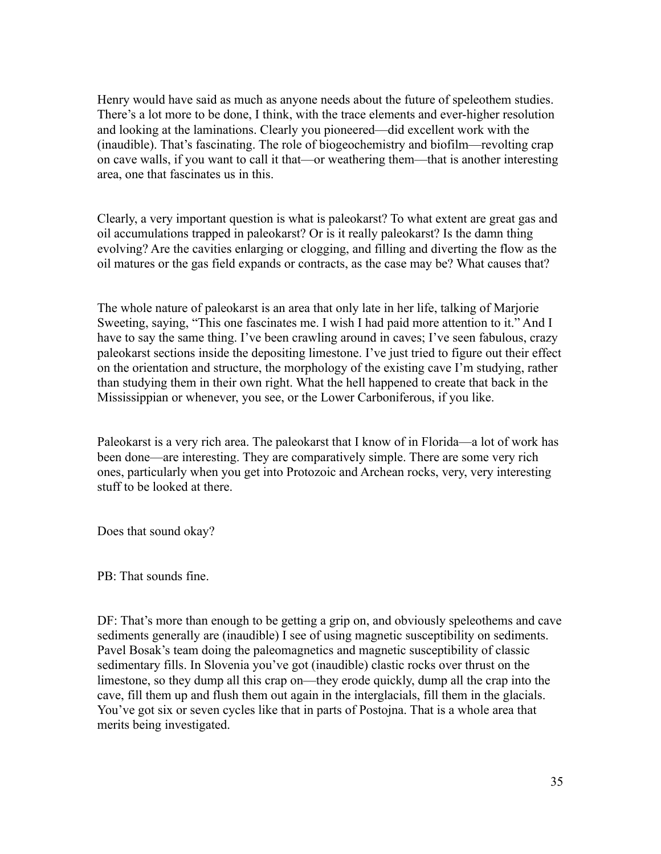Henry would have said as much as anyone needs about the future of speleothem studies. There's a lot more to be done, I think, with the trace elements and ever-higher resolution and looking at the laminations. Clearly you pioneered—did excellent work with the (inaudible). That's fascinating. The role of biogeochemistry and biofilm—revolting crap on cave walls, if you want to call it that—or weathering them—that is another interesting area, one that fascinates us in this.

Clearly, a very important question is what is paleokarst? To what extent are great gas and oil accumulations trapped in paleokarst? Or is it really paleokarst? Is the damn thing evolving? Are the cavities enlarging or clogging, and filling and diverting the flow as the oil matures or the gas field expands or contracts, as the case may be? What causes that?

The whole nature of paleokarst is an area that only late in her life, talking of Marjorie Sweeting, saying, "This one fascinates me. I wish I had paid more attention to it." And I have to say the same thing. I've been crawling around in caves; I've seen fabulous, crazy paleokarst sections inside the depositing limestone. I've just tried to figure out their effect on the orientation and structure, the morphology of the existing cave I'm studying, rather than studying them in their own right. What the hell happened to create that back in the Mississippian or whenever, you see, or the Lower Carboniferous, if you like.

Paleokarst is a very rich area. The paleokarst that I know of in Florida—a lot of work has been done—are interesting. They are comparatively simple. There are some very rich ones, particularly when you get into Protozoic and Archean rocks, very, very interesting stuff to be looked at there.

Does that sound okay?

PB: That sounds fine.

DF: That's more than enough to be getting a grip on, and obviously speleothems and cave sediments generally are (inaudible) I see of using magnetic susceptibility on sediments. Pavel Bosak's team doing the paleomagnetics and magnetic susceptibility of classic sedimentary fills. In Slovenia you've got (inaudible) clastic rocks over thrust on the limestone, so they dump all this crap on—they erode quickly, dump all the crap into the cave, fill them up and flush them out again in the interglacials, fill them in the glacials. You've got six or seven cycles like that in parts of Postojna. That is a whole area that merits being investigated.